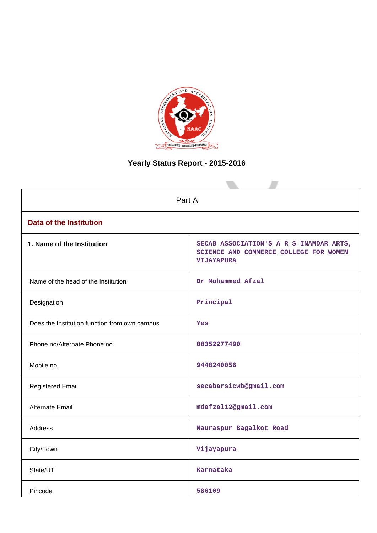

# **Yearly Status Report - 2015-2016**

| Part A                                        |                                                                                                        |  |  |  |
|-----------------------------------------------|--------------------------------------------------------------------------------------------------------|--|--|--|
| <b>Data of the Institution</b>                |                                                                                                        |  |  |  |
| 1. Name of the Institution                    | SECAB ASSOCIATION'S A R S INAMDAR ARTS,<br>SCIENCE AND COMMERCE COLLEGE FOR WOMEN<br><b>VIJAYAPURA</b> |  |  |  |
| Name of the head of the Institution           | Dr Mohammed Afzal                                                                                      |  |  |  |
| Designation                                   | Principal                                                                                              |  |  |  |
| Does the Institution function from own campus | Yes                                                                                                    |  |  |  |
| Phone no/Alternate Phone no.                  | 08352277490                                                                                            |  |  |  |
| Mobile no.                                    | 9448240056                                                                                             |  |  |  |
| <b>Registered Email</b>                       | secabarsicwb@gmail.com                                                                                 |  |  |  |
| <b>Alternate Email</b>                        | mdafzal12@gmail.com                                                                                    |  |  |  |
| <b>Address</b>                                | Nauraspur Bagalkot Road                                                                                |  |  |  |
| City/Town                                     | Vijayapura                                                                                             |  |  |  |
| State/UT                                      | Karnataka                                                                                              |  |  |  |
| Pincode                                       | 586109                                                                                                 |  |  |  |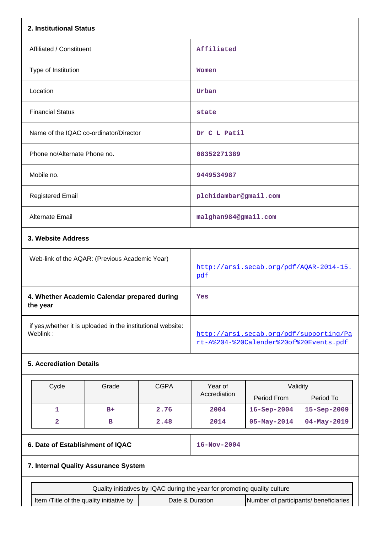| 2. Institutional Status                                  |                                                              |             |                                                                           |                                                                                   |                   |  |
|----------------------------------------------------------|--------------------------------------------------------------|-------------|---------------------------------------------------------------------------|-----------------------------------------------------------------------------------|-------------------|--|
| Affiliated / Constituent                                 |                                                              |             | Affiliated                                                                |                                                                                   |                   |  |
| Type of Institution                                      |                                                              |             | Women                                                                     |                                                                                   |                   |  |
| Location                                                 |                                                              |             | Urban                                                                     |                                                                                   |                   |  |
| <b>Financial Status</b>                                  |                                                              |             | state                                                                     |                                                                                   |                   |  |
| Name of the IQAC co-ordinator/Director                   |                                                              |             | Dr C L Patil                                                              |                                                                                   |                   |  |
| Phone no/Alternate Phone no.                             |                                                              |             | 08352271389                                                               |                                                                                   |                   |  |
| Mobile no.                                               |                                                              |             | 9449534987                                                                |                                                                                   |                   |  |
| <b>Registered Email</b>                                  |                                                              |             | plchidambar@gmail.com                                                     |                                                                                   |                   |  |
| <b>Alternate Email</b>                                   |                                                              |             | malghan984@gmail.com                                                      |                                                                                   |                   |  |
| 3. Website Address                                       |                                                              |             |                                                                           |                                                                                   |                   |  |
|                                                          | Web-link of the AQAR: (Previous Academic Year)               |             |                                                                           | http://arsi.secab.org/pdf/AQAR-2014-15.<br>pdf                                    |                   |  |
| 4. Whether Academic Calendar prepared during<br>the year |                                                              |             | Yes                                                                       |                                                                                   |                   |  |
| Weblink:                                                 | if yes, whether it is uploaded in the institutional website: |             |                                                                           | http://arsi.secab.org/pdf/supporting/Pa<br>rt-A%204-%20Calender%20of%20Events.pdf |                   |  |
| <b>5. Accrediation Details</b>                           |                                                              |             |                                                                           |                                                                                   |                   |  |
| Cycle                                                    | Grade                                                        | <b>CGPA</b> | Year of                                                                   | Validity                                                                          |                   |  |
|                                                          |                                                              |             | Accrediation                                                              | Period From                                                                       | Period To         |  |
| 1                                                        | $B+$                                                         | 2.76        | 2004                                                                      | 16-Sep-2004                                                                       | 15-Sep-2009       |  |
| $\overline{\mathbf{2}}$                                  | в                                                            | 2.48        | 2014                                                                      | $05 - May - 2014$                                                                 | $04 - May - 2019$ |  |
| 6. Date of Establishment of IQAC                         |                                                              |             | 16-Nov-2004                                                               |                                                                                   |                   |  |
| 7. Internal Quality Assurance System                     |                                                              |             |                                                                           |                                                                                   |                   |  |
|                                                          |                                                              |             | Quality initiatives by IQAC during the year for promoting quality culture |                                                                                   |                   |  |
| Item /Title of the quality initiative by                 |                                                              |             | Date & Duration                                                           | Number of participants/ beneficiaries                                             |                   |  |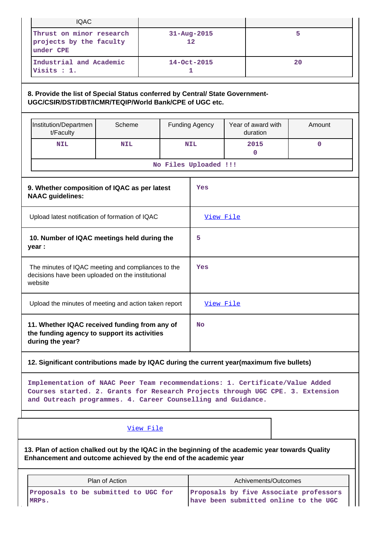| <b>IQAC</b>                                                                                                        |                                                                                                                                         |  |           |                       |  |                                |        |  |  |  |
|--------------------------------------------------------------------------------------------------------------------|-----------------------------------------------------------------------------------------------------------------------------------------|--|-----------|-----------------------|--|--------------------------------|--------|--|--|--|
| Thrust on minor research<br>projects by the faculty<br>under CPE                                                   |                                                                                                                                         |  |           | 31-Aug-2015<br>12     |  | 5                              |        |  |  |  |
| Industrial and Academic<br>Visits : 1.                                                                             |                                                                                                                                         |  |           | 14-Oct-2015<br>1      |  |                                | 20     |  |  |  |
|                                                                                                                    | 8. Provide the list of Special Status conferred by Central/ State Government-<br>UGC/CSIR/DST/DBT/ICMR/TEQIP/World Bank/CPE of UGC etc. |  |           |                       |  |                                |        |  |  |  |
| Institution/Departmen<br>t/Faculty                                                                                 | Scheme                                                                                                                                  |  |           | <b>Funding Agency</b> |  | Year of award with<br>duration | Amount |  |  |  |
| <b>NIL</b>                                                                                                         | <b>NIL</b>                                                                                                                              |  |           | <b>NIL</b>            |  | 2015<br>0                      | 0      |  |  |  |
|                                                                                                                    |                                                                                                                                         |  |           | No Files Uploaded !!! |  |                                |        |  |  |  |
| 9. Whether composition of IQAC as per latest<br>Yes<br><b>NAAC</b> guidelines:                                     |                                                                                                                                         |  |           |                       |  |                                |        |  |  |  |
| Upload latest notification of formation of IQAC                                                                    |                                                                                                                                         |  |           | View File             |  |                                |        |  |  |  |
| year :                                                                                                             | 10. Number of IQAC meetings held during the                                                                                             |  |           | 5                     |  |                                |        |  |  |  |
| The minutes of IQAC meeting and compliances to the<br>decisions have been uploaded on the institutional<br>website |                                                                                                                                         |  |           | Yes                   |  |                                |        |  |  |  |
| Upload the minutes of meeting and action taken report                                                              |                                                                                                                                         |  | View File |                       |  |                                |        |  |  |  |
| during the year?                                                                                                   | 11. Whether IQAC received funding from any of<br>the funding agency to support its activities                                           |  |           | <b>No</b>             |  |                                |        |  |  |  |
|                                                                                                                    | 12. Significant contributions made by IQAC during the current year(maximum five bullets)                                                |  |           |                       |  |                                |        |  |  |  |

**Implementation of NAAC Peer Team recommendations: 1. Certificate/Value Added Courses started. 2. Grants for Research Projects through UGC CPE. 3. Extension and Outreach programmes. 4. Career Counselling and Guidance.**

# [View File](https://assessmentonline.naac.gov.in/public/Postacc/Contribution/1626_Contribution.xlsx)

**13. Plan of action chalked out by the IQAC in the beginning of the academic year towards Quality Enhancement and outcome achieved by the end of the academic year**

| Plan of Action                       | Achivements/Outcomes                   |  |  |
|--------------------------------------|----------------------------------------|--|--|
| Proposals to be submitted to UGC for | Proposals by five Associate professors |  |  |
| MRPs.                                | have been submitted online to the UGC  |  |  |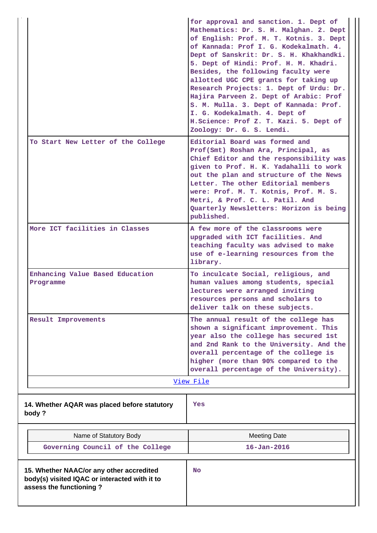|                                                                                                                      | for approval and sanction. 1. Dept of<br>Mathematics: Dr. S. H. Malghan. 2. Dept<br>of English: Prof. M. T. Kotnis. 3. Dept<br>of Kannada: Prof I. G. Kodekalmath. 4.<br>Dept of Sanskrit: Dr. S. H. Khakhandki.<br>5. Dept of Hindi: Prof. H. M. Khadri.<br>Besides, the following faculty were<br>allotted UGC CPE grants for taking up<br>Research Projects: 1. Dept of Urdu: Dr.<br>Hajira Parveen 2. Dept of Arabic: Prof<br>S. M. Mulla. 3. Dept of Kannada: Prof.<br>I. G. Kodekalmath. 4. Dept of<br>H.Science: Prof Z. T. Kazi. 5. Dept of<br>Zoology: Dr. G. S. Lendi. |
|----------------------------------------------------------------------------------------------------------------------|----------------------------------------------------------------------------------------------------------------------------------------------------------------------------------------------------------------------------------------------------------------------------------------------------------------------------------------------------------------------------------------------------------------------------------------------------------------------------------------------------------------------------------------------------------------------------------|
| To Start New Letter of the College                                                                                   | Editorial Board was formed and<br>Prof(Smt) Roshan Ara, Principal, as<br>Chief Editor and the responsibility was<br>given to Prof. H. K. Yadahalli to work<br>out the plan and structure of the News<br>Letter. The other Editorial members<br>were: Prof. M. T. Kotnis, Prof. M. S.<br>Metri, & Prof. C. L. Patil. And<br>Quarterly Newsletters: Horizon is being<br>published.                                                                                                                                                                                                 |
| More ICT facilities in Classes                                                                                       | A few more of the classrooms were<br>upgraded with ICT facilities. And<br>teaching faculty was advised to make<br>use of e-learning resources from the<br>library.                                                                                                                                                                                                                                                                                                                                                                                                               |
| Enhancing Value Based Education<br>Programme                                                                         | To inculcate Social, religious, and<br>human values among students, special<br>lectures were arranged inviting<br>resources persons and scholars to<br>deliver talk on these subjects.                                                                                                                                                                                                                                                                                                                                                                                           |
| Result Improvements                                                                                                  | The annual result of the college has<br>shown a significant improvement. This<br>year also the college has secured 1st<br>and 2nd Rank to the University. And the<br>overall percentage of the college is<br>higher (more than 90% compared to the<br>overall percentage of the University).<br>View File                                                                                                                                                                                                                                                                        |
|                                                                                                                      |                                                                                                                                                                                                                                                                                                                                                                                                                                                                                                                                                                                  |
| 14. Whether AQAR was placed before statutory<br>body?                                                                | Yes                                                                                                                                                                                                                                                                                                                                                                                                                                                                                                                                                                              |
| Name of Statutory Body                                                                                               | <b>Meeting Date</b>                                                                                                                                                                                                                                                                                                                                                                                                                                                                                                                                                              |
| Governing Council of the College                                                                                     | $16 - Jan - 2016$                                                                                                                                                                                                                                                                                                                                                                                                                                                                                                                                                                |
| 15. Whether NAAC/or any other accredited<br>body(s) visited IQAC or interacted with it to<br>assess the functioning? | <b>No</b>                                                                                                                                                                                                                                                                                                                                                                                                                                                                                                                                                                        |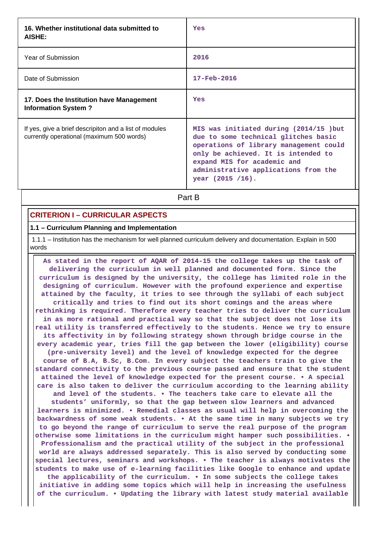| 16. Whether institutional data submitted to<br>AISHE:                                               | Yes                                                                                                                                                                                                                                                          |
|-----------------------------------------------------------------------------------------------------|--------------------------------------------------------------------------------------------------------------------------------------------------------------------------------------------------------------------------------------------------------------|
| Year of Submission                                                                                  | 2016                                                                                                                                                                                                                                                         |
| Date of Submission                                                                                  | $17 - \text{Feb} - 2016$                                                                                                                                                                                                                                     |
| 17. Does the Institution have Management<br><b>Information System?</b>                              | Yes                                                                                                                                                                                                                                                          |
| If yes, give a brief descripiton and a list of modules<br>currently operational (maximum 500 words) | MIS was initiated during (2014/15 ) but<br>due to some technical glitches basic<br>operations of library management could<br>only be achieved. It is intended to<br>expand MIS for academic and<br>administrative applications from the<br>year (2015 / 16). |

**Part B** 

# **CRITERION I – CURRICULAR ASPECTS**

#### **1.1 – Curriculum Planning and Implementation**

 1.1.1 – Institution has the mechanism for well planned curriculum delivery and documentation. Explain in 500 words

 **As stated in the report of AQAR of 2014-15 the college takes up the task of delivering the curriculum in well planned and documented form. Since the curriculum is designed by the university, the college has limited role in the designing of curriculum. However with the profound experience and expertise attained by the faculty, it tries to see through the syllabi of each subject critically and tries to find out its short comings and the areas where rethinking is required. Therefore every teacher tries to deliver the curriculum in as more rational and practical way so that the subject does not lose its real utility is transferred effectively to the students. Hence we try to ensure its affectivity in by following strategy shown through bridge course in the every academic year, tries fill the gap between the lower (eligibility) course (pre-university level) and the level of knowledge expected for the degree course of B.A, B.Sc, B.Com. In every subject the teachers train to give the standard connectivity to the previous course passed and ensure that the student attained the level of knowledge expected for the present course. • A special care is also taken to deliver the curriculum according to the learning ability and level of the students. • The teachers take care to elevate all the students' uniformly, so that the gap between slow learners and advanced learners is minimized. • Remedial classes as usual will help in overcoming the backwardness of some weak students. • At the same time in many subjects we try to go beyond the range of curriculum to serve the real purpose of the program otherwise some limitations in the curriculum might hamper such possibilities. • Professionalism and the practical utility of the subject in the professional world are always addressed separately. This is also served by conducting some special lectures, seminars and workshops. • The teacher is always motivates the students to make use of e-learning facilities like Google to enhance and update the applicability of the curriculum. • In some subjects the college takes initiative in adding some topics which will help in increasing the usefulness of the curriculum. • Updating the library with latest study material available**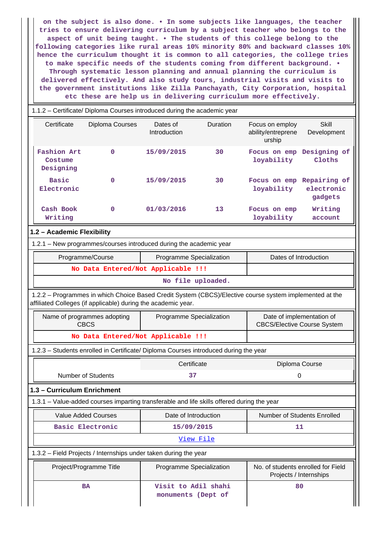**on the subject is also done. • In some subjects like languages, the teacher tries to ensure delivering curriculum by a subject teacher who belongs to the aspect of unit being taught. • The students of this college belong to the following categories like rural areas 10% minority 80% and backward classes 10% hence the curriculum thought it is common to all categories, the college tries to make specific needs of the students coming from different background. • Through systematic lesson planning and annual planning the curriculum is delivered effectively. And also study tours, industrial visits and visits to the government institutions like Zilla Panchayath, City Corporation, hospital etc these are help us in delivering curriculum more effectively.**

| 1.1.2 - Certificate/ Diploma Courses introduced during the academic year |                                                                                                                                                                          |                                           |           |                                                                 |                                       |  |  |  |
|--------------------------------------------------------------------------|--------------------------------------------------------------------------------------------------------------------------------------------------------------------------|-------------------------------------------|-----------|-----------------------------------------------------------------|---------------------------------------|--|--|--|
| Certificate                                                              | Diploma Courses                                                                                                                                                          | Dates of<br>Introduction                  | Duration  | Focus on employ<br>ability/entreprene<br>urship                 | Skill<br>Development                  |  |  |  |
| <b>Fashion Art</b><br>Costume<br>Designing                               | $\mathbf{O}$                                                                                                                                                             | 15/09/2015                                | 30        | Focus on emp<br>loyability                                      | Designing of<br>Cloths                |  |  |  |
| <b>Basic</b><br>Electronic                                               | $\mathbf 0$                                                                                                                                                              | 15/09/2015                                | 30        | Focus on emp<br>loyability                                      | Repairing of<br>electronic<br>gadgets |  |  |  |
| Cash Book<br>Writing                                                     | $\mathbf{0}$                                                                                                                                                             | 01/03/2016                                | 13        | Focus on emp<br>loyability                                      | Writing<br>account                    |  |  |  |
| 1.2 - Academic Flexibility                                               |                                                                                                                                                                          |                                           |           |                                                                 |                                       |  |  |  |
|                                                                          | 1.2.1 - New programmes/courses introduced during the academic year                                                                                                       |                                           |           |                                                                 |                                       |  |  |  |
| Dates of Introduction<br>Programme/Course<br>Programme Specialization    |                                                                                                                                                                          |                                           |           |                                                                 |                                       |  |  |  |
| No Data Entered/Not Applicable !!!                                       |                                                                                                                                                                          |                                           |           |                                                                 |                                       |  |  |  |
|                                                                          |                                                                                                                                                                          | No file uploaded.                         |           |                                                                 |                                       |  |  |  |
|                                                                          | 1.2.2 - Programmes in which Choice Based Credit System (CBCS)/Elective course system implemented at the<br>affiliated Colleges (if applicable) during the academic year. |                                           |           |                                                                 |                                       |  |  |  |
|                                                                          | Name of programmes adopting<br><b>CBCS</b>                                                                                                                               | Programme Specialization                  |           | Date of implementation of<br><b>CBCS/Elective Course System</b> |                                       |  |  |  |
|                                                                          | No Data Entered/Not Applicable !!!                                                                                                                                       |                                           |           |                                                                 |                                       |  |  |  |
|                                                                          | 1.2.3 - Students enrolled in Certificate/ Diploma Courses introduced during the year                                                                                     |                                           |           |                                                                 |                                       |  |  |  |
|                                                                          |                                                                                                                                                                          | Certificate                               |           |                                                                 | Diploma Course                        |  |  |  |
|                                                                          | <b>Number of Students</b>                                                                                                                                                | 37                                        |           | 0                                                               |                                       |  |  |  |
| 1.3 - Curriculum Enrichment                                              |                                                                                                                                                                          |                                           |           |                                                                 |                                       |  |  |  |
|                                                                          | 1.3.1 – Value-added courses imparting transferable and life skills offered during the year                                                                               |                                           |           |                                                                 |                                       |  |  |  |
|                                                                          | <b>Value Added Courses</b>                                                                                                                                               | Date of Introduction                      |           |                                                                 | Number of Students Enrolled           |  |  |  |
|                                                                          | <b>Basic Electronic</b>                                                                                                                                                  | 15/09/2015                                |           | 11                                                              |                                       |  |  |  |
|                                                                          |                                                                                                                                                                          |                                           | View File |                                                                 |                                       |  |  |  |
|                                                                          | 1.3.2 - Field Projects / Internships under taken during the year                                                                                                         |                                           |           |                                                                 |                                       |  |  |  |
|                                                                          | Project/Programme Title                                                                                                                                                  | Programme Specialization                  |           | No. of students enrolled for Field<br>Projects / Internships    |                                       |  |  |  |
|                                                                          | BA                                                                                                                                                                       | Visit to Adil shahi<br>monuments (Dept of |           |                                                                 | 80                                    |  |  |  |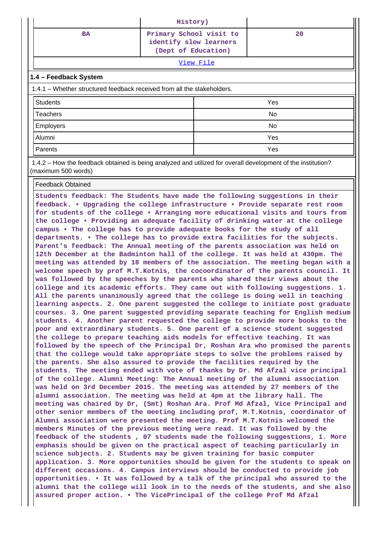|           | History)                                                                 |    |  |  |  |
|-----------|--------------------------------------------------------------------------|----|--|--|--|
| <b>BA</b> | Primary School visit to<br>identify slow learners<br>(Dept of Education) | 20 |  |  |  |
| View File |                                                                          |    |  |  |  |

### **1.4 – Feedback System**

1.4.1 – Whether structured feedback received from all the stakeholders.

| Students  | Yes |
|-----------|-----|
| Teachers  | No  |
| Employers | No  |
| Alumni    | Yes |
| Parents   | Yes |

 1.4.2 – How the feedback obtained is being analyzed and utilized for overall development of the institution? (maximum 500 words)

#### Feedback Obtained

**Students feedback: The Students have made the following suggestions in their feedback. • Upgrading the college infrastructure • Provide separate rest room for students of the college • Arranging more educational visits and tours from the college • Providing an adequate facility of drinking water at the college campus • The college has to provide adequate books for the study of all departments. • The college has to provide extra facilities for the subjects. Parent's feedback: The Annual meeting of the parents association was held on 12th December at the Badminton hall of the college. It was held at 430pm. The meeting was attended by 18 members of the association. The meeting began with a welcome speech by prof M.T.Kotnis, the cocoordinator of the parents council. It was followed by the speeches by the parents who shared their views about the college and its academic efforts. They came out with following suggestions. 1. All the parents unanimously agreed that the college is doing well in teaching learning aspects. 2. One parent suggested the college to initiate post graduate courses. 3. One parent suggested providing separate teaching for English medium students. 4. Another parent requested the college to provide more books to the poor and extraordinary students. 5. One parent of a science student suggested the college to prepare teaching aids models for effective teaching. It was followed by the speech of the Principal Dr, Roshan Ara who promised the parents that the college would take appropriate steps to solve the problems raised by the parents. She also assured to provide the facilities required by the students. The meeting ended with vote of thanks by Dr. Md Afzal vice principal of the college. Alumni Meeting: The Annual meeting of the alumni association was held on 3rd December 2015. The meeting was attended by 27 members of the alumni association. The meeting was held at 4pm at the library hall. The meeting was chaired by Dr, (Smt) Roshan Ara. Prof Md Afzal, Vice Principal and other senior members of the meeting including prof, M.T.Kotnis, coordinator of Alumni association were presented the meeting. Prof M.T.Kotnis welcomed the members Minutes of the previous meeting were read. It was followed by the feedback of the students , 07 students made the following suggestions, 1. More emphasis should be given on the practical aspect of teaching particularly in science subjects. 2. Students may be given training for basic computer application. 3. More opportunities should be given for the students to speak on different occasions. 4. Campus interviews should be conducted to provide job opportunities. • It was followed by a talk of the principal who assured to the alumni that the college will look in to the needs of the students, and she also assured proper action. • The VicePrincipal of the college Prof Md Afzal**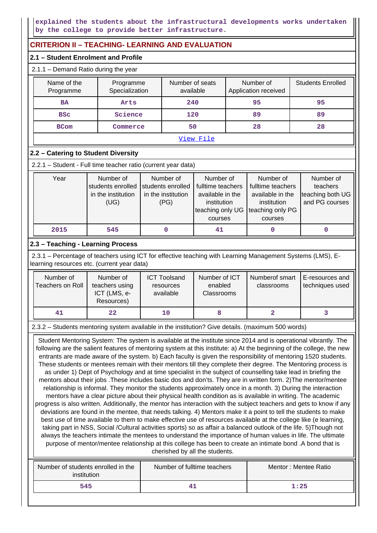**explained the students about the infrastructural developments works undertaken by the college to provide better infrastructure.**

# **CRITERION II – TEACHING- LEARNING AND EVALUATION**

### **2.1 – Student Enrolment and Profile**

### 2.1.1 – Demand Ratio during the year

| Name of the<br>Programme | Programme<br>Specialization | Number of seats<br>available | Number of<br>Application received | <b>Students Enrolled</b> |  |  |  |
|--------------------------|-----------------------------|------------------------------|-----------------------------------|--------------------------|--|--|--|
| <b>BA</b>                | Arts                        | 240                          | 95                                | 95                       |  |  |  |
| <b>BSC</b>               | Science                     | 120                          | 89                                | 89                       |  |  |  |
| <b>BCom</b>              | Commerce                    | 50                           | 28                                | 28                       |  |  |  |
|                          | View File                   |                              |                                   |                          |  |  |  |

### **2.2 – Catering to Student Diversity**

| 2.2.1 – Student - Full time teacher ratio (current year data) |                                                              |                                                              |                                                                                                  |                                                                                                  |                                                             |  |  |
|---------------------------------------------------------------|--------------------------------------------------------------|--------------------------------------------------------------|--------------------------------------------------------------------------------------------------|--------------------------------------------------------------------------------------------------|-------------------------------------------------------------|--|--|
| Year                                                          | Number of<br>students enrolled<br>in the institution<br>(UG) | Number of<br>students enrolled<br>in the institution<br>(PG) | Number of<br>fulltime teachers<br>available in the<br>institution<br>teaching only UG<br>courses | Number of<br>fulltime teachers<br>available in the<br>institution<br>teaching only PG<br>courses | Number of<br>teachers<br>teaching both UG<br>and PG courses |  |  |
| 2015                                                          | 545                                                          |                                                              | 41                                                                                               |                                                                                                  |                                                             |  |  |

# **2.3 – Teaching - Learning Process**

 2.3.1 – Percentage of teachers using ICT for effective teaching with Learning Management Systems (LMS), Elearning resources etc. (current year data)

| Number of<br>Teachers on Roll | Number of<br>teachers using<br>ICT (LMS, e-<br>Resources) | <b>ICT Toolsand</b><br>resources<br>available | Number of ICT<br>enabled<br><b>Classrooms</b> | Numberof smart<br>classrooms | E-resources and<br>techniques used |
|-------------------------------|-----------------------------------------------------------|-----------------------------------------------|-----------------------------------------------|------------------------------|------------------------------------|
| 41                            | 22                                                        | 10                                            |                                               |                              |                                    |

### 2.3.2 – Students mentoring system available in the institution? Give details. (maximum 500 words)

 Student Mentoring System: The system is available at the institute since 2014 and is operational vibrantly. The following are the salient features of mentoring system at this institute: a) At the beginning of the college, the new entrants are made aware of the system. b) Each faculty is given the responsibility of mentoring 1520 students. These students or mentees remain with their mentors till they complete their degree. The Mentoring process is as under 1) Dept of Psychology and at time specialist in the subject of counselling take lead in briefing the mentors about their jobs .These includes basic dos and don'ts. They are in written form. 2)The mentor/mentee relationship is informal. They monitor the students approximately once in a month. 3) During the interaction mentors have a clear picture about their physical health condition as is available in writing. The academic progress is also written. Additionally, the mentor has interaction with the subject teachers and gets to know if any deviations are found in the mentee, that needs talking. 4) Mentors make it a point to tell the students to make best use of time available to them to make effective use of resources available at the college like (e learning, taking part in NSS, Social /Cultural activities sports) so as affair a balanced outlook of the life. 5)Though not always the teachers intimate the mentees to understand the importance of human values in life. The ultimate purpose of mentor/mentee relationship at this college has been to create an intimate bond .A bond that is cherished by all the students.

| Number of students enrolled in the<br>institution | Number of fulltime teachers | Mentor: Mentee Ratio |  |  |
|---------------------------------------------------|-----------------------------|----------------------|--|--|
| 545                                               |                             | 1:25                 |  |  |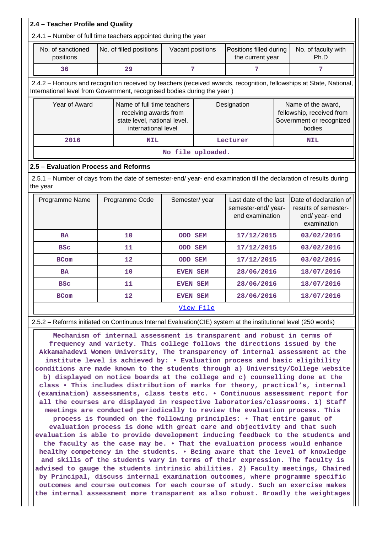| 2.4 - Teacher Profile and Quality                                                                                                                                                              |                                                                                                            |                         |                   |           |                                                                                                                                                    |                                                                                       |                                                                                 |  |  |
|------------------------------------------------------------------------------------------------------------------------------------------------------------------------------------------------|------------------------------------------------------------------------------------------------------------|-------------------------|-------------------|-----------|----------------------------------------------------------------------------------------------------------------------------------------------------|---------------------------------------------------------------------------------------|---------------------------------------------------------------------------------|--|--|
| 2.4.1 - Number of full time teachers appointed during the year                                                                                                                                 |                                                                                                            |                         |                   |           |                                                                                                                                                    |                                                                                       |                                                                                 |  |  |
| No. of sanctioned<br>positions                                                                                                                                                                 |                                                                                                            | No. of filled positions | Vacant positions  |           | Positions filled during<br>the current year                                                                                                        |                                                                                       | No. of faculty with<br>Ph.D                                                     |  |  |
| 36                                                                                                                                                                                             |                                                                                                            | 29                      | 7                 |           | 7                                                                                                                                                  |                                                                                       | 7                                                                               |  |  |
| 2.4.2 - Honours and recognition received by teachers (received awards, recognition, fellowships at State, National,<br>International level from Government, recognised bodies during the year) |                                                                                                            |                         |                   |           |                                                                                                                                                    |                                                                                       |                                                                                 |  |  |
| Year of Award                                                                                                                                                                                  | Name of full time teachers<br>receiving awards from<br>state level, national level,<br>international level |                         |                   |           | Designation                                                                                                                                        | Name of the award,<br>fellowship, received from<br>Government or recognized<br>bodies |                                                                                 |  |  |
| 2016                                                                                                                                                                                           | <b>NIL</b>                                                                                                 |                         |                   |           | Lecturer                                                                                                                                           |                                                                                       | <b>NIL</b>                                                                      |  |  |
|                                                                                                                                                                                                |                                                                                                            |                         | No file uploaded. |           |                                                                                                                                                    |                                                                                       |                                                                                 |  |  |
| 2.5 - Evaluation Process and Reforms                                                                                                                                                           |                                                                                                            |                         |                   |           |                                                                                                                                                    |                                                                                       |                                                                                 |  |  |
| 2.5.1 - Number of days from the date of semester-end/ year- end examination till the declaration of results during<br>the year                                                                 |                                                                                                            |                         |                   |           |                                                                                                                                                    |                                                                                       |                                                                                 |  |  |
| Programme Name                                                                                                                                                                                 |                                                                                                            | Programme Code          | Semester/year     |           | Last date of the last<br>semester-end/year-<br>end examination                                                                                     |                                                                                       | Date of declaration of<br>results of semester-<br>end/ year- end<br>examination |  |  |
| <b>BA</b>                                                                                                                                                                                      |                                                                                                            | 10                      | <b>ODD SEM</b>    |           | 17/12/2015                                                                                                                                         |                                                                                       | 03/02/2016                                                                      |  |  |
| <b>BSC</b>                                                                                                                                                                                     |                                                                                                            | 11                      | <b>ODD SEM</b>    |           | 17/12/2015                                                                                                                                         |                                                                                       | 03/02/2016                                                                      |  |  |
| <b>BCom</b>                                                                                                                                                                                    |                                                                                                            | 12                      | <b>ODD SEM</b>    |           | 17/12/2015                                                                                                                                         |                                                                                       | 03/02/2016                                                                      |  |  |
| <b>BA</b>                                                                                                                                                                                      |                                                                                                            | 10                      | <b>EVEN SEM</b>   |           | 28/06/2016                                                                                                                                         |                                                                                       | 18/07/2016                                                                      |  |  |
| <b>BSC</b>                                                                                                                                                                                     |                                                                                                            | 11                      | <b>EVEN SEM</b>   |           | 28/06/2016                                                                                                                                         |                                                                                       | 18/07/2016                                                                      |  |  |
| <b>BCom</b>                                                                                                                                                                                    |                                                                                                            | 12                      | <b>EVEN SEM</b>   |           | 28/06/2016                                                                                                                                         |                                                                                       | 18/07/2016                                                                      |  |  |
|                                                                                                                                                                                                |                                                                                                            |                         |                   | View File |                                                                                                                                                    |                                                                                       |                                                                                 |  |  |
| 2.5.2 - Reforms initiated on Continuous Internal Evaluation(CIE) system at the institutional level (250 words)                                                                                 |                                                                                                            |                         |                   |           |                                                                                                                                                    |                                                                                       |                                                                                 |  |  |
|                                                                                                                                                                                                |                                                                                                            |                         |                   |           | Mechanism of internal assessment is transparent and robust in terms of<br>frequency and variety. This college follows the directions issued by the |                                                                                       |                                                                                 |  |  |

**frequency and variety. This college follows the directions issued by the Akkamahadevi Women University, The transparency of internal assessment at the institute level is achieved by: • Evaluation process and basic eligibility conditions are made known to the students through a) University/College website b) displayed on notice boards at the college and c) counselling done at the class • This includes distribution of marks for theory, practical's, internal (examination) assessments, class tests etc. • Continuous assessment report for all the courses are displayed in respective laboratories/classrooms. 1) Staff meetings are conducted periodically to review the evaluation process. This process is founded on the following principles: • That entire gamut of evaluation process is done with great care and objectivity and that such evaluation is able to provide development inducing feedback to the students and the faculty as the case may be. • That the evaluation process would enhance healthy competency in the students. • Being aware that the level of knowledge and skills of the students vary in terms of their expression. The faculty is advised to gauge the students intrinsic abilities. 2) Faculty meetings, Chaired by Principal, discuss internal examination outcomes, where programme specific outcomes and course outcomes for each course of study. Such an exercise makes the internal assessment more transparent as also robust. Broadly the weightages**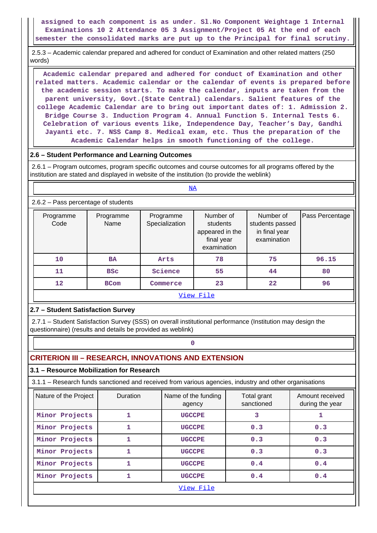**assigned to each component is as under. Sl.No Component Weightage 1 Internal Examinations 10 2 Attendance 05 3 Assignment/Project 05 At the end of each semester the consolidated marks are put up to the Principal for final scrutiny.**

 2.5.3 – Academic calendar prepared and adhered for conduct of Examination and other related matters (250 words)

 **Academic calendar prepared and adhered for conduct of Examination and other related matters. Academic calendar or the calendar of events is prepared before the academic session starts. To make the calendar, inputs are taken from the parent university, Govt.(State Central) calendars. Salient features of the college Academic Calendar are to bring out important dates of: 1. Admission 2. Bridge Course 3. Induction Program 4. Annual Function 5. Internal Tests 6. Celebration of various events like, Independence Day, Teacher's Day, Gandhi Jayanti etc. 7. NSS Camp 8. Medical exam, etc. Thus the preparation of the Academic Calendar helps in smooth functioning of the college.**

### **2.6 – Student Performance and Learning Outcomes**

<NA>

 2.6.1 – Program outcomes, program specific outcomes and course outcomes for all programs offered by the institution are stated and displayed in website of the institution (to provide the weblink)

### 2.6.2 – Pass percentage of students

| $\frac{1}{2}$     |                   |                             |                                                                       |                                                              |                 |  |  |  |  |  |  |
|-------------------|-------------------|-----------------------------|-----------------------------------------------------------------------|--------------------------------------------------------------|-----------------|--|--|--|--|--|--|
| Programme<br>Code | Programme<br>Name | Programme<br>Specialization | Number of<br>students<br>appeared in the<br>final year<br>examination | Number of<br>students passed<br>in final year<br>examination | Pass Percentage |  |  |  |  |  |  |
| 10                | <b>BA</b>         | Arts                        | 78                                                                    | 75                                                           | 96.15           |  |  |  |  |  |  |
| 11                | <b>BSC</b>        | Science                     | 55                                                                    | 44                                                           | 80              |  |  |  |  |  |  |
| 12                | <b>BCom</b>       |                             | 23                                                                    | 22                                                           | 96              |  |  |  |  |  |  |
| View File         |                   |                             |                                                                       |                                                              |                 |  |  |  |  |  |  |

### **2.7 – Student Satisfaction Survey**

 2.7.1 – Student Satisfaction Survey (SSS) on overall institutional performance (Institution may design the questionnaire) (results and details be provided as weblink)

# **CRITERION III – RESEARCH, INNOVATIONS AND EXTENSION**

### **3.1 – Resource Mobilization for Research**

**0**

3.1.1 – Research funds sanctioned and received from various agencies, industry and other organisations

| Nature of the Project | Duration | Name of the funding<br>agency | Total grant<br>sanctioned | Amount received<br>during the year |  |  |  |  |  |
|-----------------------|----------|-------------------------------|---------------------------|------------------------------------|--|--|--|--|--|
| Minor Projects        |          | <b>UGCCPE</b>                 | 3                         |                                    |  |  |  |  |  |
| Minor Projects        | 1        | <b>UGCCPE</b>                 | 0.3                       | 0.3                                |  |  |  |  |  |
| Minor Projects        |          | <b>UGCCPE</b>                 | 0.3                       | 0.3                                |  |  |  |  |  |
| Minor Projects        |          | <b>UGCCPE</b>                 | 0.3                       | 0.3                                |  |  |  |  |  |
| Minor Projects        |          | <b>UGCCPE</b>                 | 0.4                       | 0.4                                |  |  |  |  |  |
| Minor Projects        |          | <b>UGCCPE</b>                 | 0.4                       | 0.4                                |  |  |  |  |  |
| View File             |          |                               |                           |                                    |  |  |  |  |  |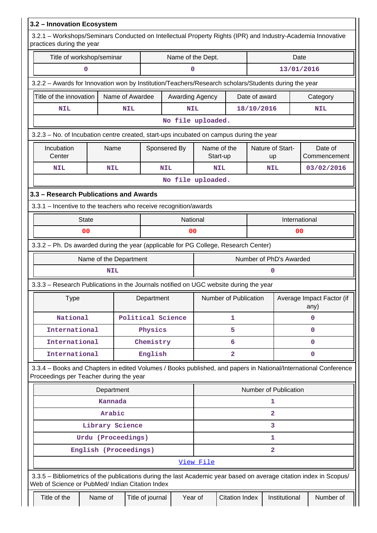| 3.2 - Innovation Ecosystem                                                                                                                                            |                    |                        |                   |                   |           |                         |                |                         |               |                                   |
|-----------------------------------------------------------------------------------------------------------------------------------------------------------------------|--------------------|------------------------|-------------------|-------------------|-----------|-------------------------|----------------|-------------------------|---------------|-----------------------------------|
| 3.2.1 - Workshops/Seminars Conducted on Intellectual Property Rights (IPR) and Industry-Academia Innovative<br>practices during the year                              |                    |                        |                   |                   |           |                         |                |                         |               |                                   |
| Title of workshop/seminar                                                                                                                                             |                    |                        |                   | Name of the Dept. |           |                         |                |                         | Date          |                                   |
|                                                                                                                                                                       | 0                  |                        |                   | 0                 |           |                         | 13/01/2016     |                         |               |                                   |
| 3.2.2 - Awards for Innovation won by Institution/Teachers/Research scholars/Students during the year                                                                  |                    |                        |                   |                   |           |                         |                |                         |               |                                   |
| Title of the innovation                                                                                                                                               |                    | Name of Awardee        |                   | Awarding Agency   |           |                         | Date of award  |                         |               | Category                          |
| <b>NIL</b>                                                                                                                                                            |                    | <b>NIL</b>             |                   | <b>NIL</b>        |           |                         | 18/10/2016     |                         |               | <b>NIL</b>                        |
|                                                                                                                                                                       |                    |                        |                   | No file uploaded. |           |                         |                |                         |               |                                   |
| 3.2.3 - No. of Incubation centre created, start-ups incubated on campus during the year                                                                               |                    |                        |                   |                   |           |                         |                |                         |               |                                   |
| Incubation<br>Center                                                                                                                                                  |                    | Name                   | Sponsered By      |                   |           | Name of the<br>Start-up |                | Nature of Start-<br>up  |               | Date of<br>Commencement           |
| <b>NIL</b>                                                                                                                                                            |                    | <b>NIL</b>             | <b>NIL</b>        |                   |           | <b>NIL</b>              |                | <b>NIL</b>              |               | 03/02/2016                        |
|                                                                                                                                                                       |                    |                        |                   | No file uploaded. |           |                         |                |                         |               |                                   |
| 3.3 - Research Publications and Awards                                                                                                                                |                    |                        |                   |                   |           |                         |                |                         |               |                                   |
| 3.3.1 - Incentive to the teachers who receive recognition/awards                                                                                                      |                    |                        |                   |                   |           |                         |                |                         |               |                                   |
|                                                                                                                                                                       | <b>State</b>       |                        |                   | National          |           |                         |                |                         | International |                                   |
|                                                                                                                                                                       | 0 <sub>0</sub>     |                        |                   | 00                |           |                         | 0 <sub>0</sub> |                         |               |                                   |
| 3.3.2 - Ph. Ds awarded during the year (applicable for PG College, Research Center)                                                                                   |                    |                        |                   |                   |           |                         |                |                         |               |                                   |
|                                                                                                                                                                       |                    | Name of the Department |                   |                   |           |                         |                | Number of PhD's Awarded |               |                                   |
|                                                                                                                                                                       |                    | <b>NIL</b>             |                   |                   |           |                         |                | $\Omega$                |               |                                   |
| 3.3.3 – Research Publications in the Journals notified on UGC website during the year                                                                                 |                    |                        |                   |                   |           |                         |                |                         |               |                                   |
| Type                                                                                                                                                                  |                    |                        |                   | Department        |           | Number of Publication   |                |                         |               | Average Impact Factor (if<br>any) |
| National                                                                                                                                                              |                    |                        | Political Science |                   |           | 1                       |                | 0                       |               |                                   |
| International                                                                                                                                                         |                    |                        | Physics           |                   |           | 5                       |                |                         |               | 0                                 |
| International                                                                                                                                                         |                    |                        | Chemistry         |                   |           | 6                       |                |                         |               | $\mathbf 0$                       |
| International                                                                                                                                                         |                    |                        | English           |                   |           | $\overline{\mathbf{2}}$ |                |                         |               | $\mathbf 0$                       |
| 3.3.4 - Books and Chapters in edited Volumes / Books published, and papers in National/International Conference<br>Proceedings per Teacher during the year            |                    |                        |                   |                   |           |                         |                |                         |               |                                   |
|                                                                                                                                                                       |                    | Department             |                   |                   |           |                         |                | Number of Publication   |               |                                   |
|                                                                                                                                                                       |                    | Kannada                |                   |                   |           |                         |                | 1                       |               |                                   |
|                                                                                                                                                                       |                    | Arabic                 |                   |                   |           |                         |                | $\overline{a}$          |               |                                   |
|                                                                                                                                                                       |                    | Library Science        |                   |                   |           |                         |                | 3                       |               |                                   |
|                                                                                                                                                                       | Urdu (Proceedings) |                        |                   |                   |           |                         |                | 1                       |               |                                   |
|                                                                                                                                                                       |                    | English (Proceedings)  |                   |                   |           |                         |                | $\mathbf{2}$            |               |                                   |
|                                                                                                                                                                       |                    |                        |                   |                   | View File |                         |                |                         |               |                                   |
| 3.3.5 - Bibliometrics of the publications during the last Academic year based on average citation index in Scopus/<br>Web of Science or PubMed/ Indian Citation Index |                    |                        |                   |                   |           |                         |                |                         |               |                                   |
| Title of the                                                                                                                                                          | Name of            |                        | Title of journal  | Year of           |           | <b>Citation Index</b>   |                | Institutional           |               | Number of                         |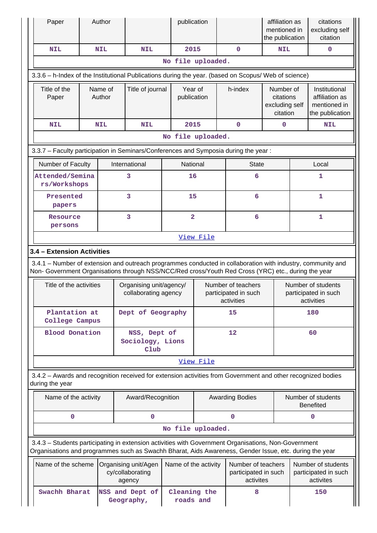| Paper                                                                                                                                                                                                                                         |                    | Author     |                                                                            | publication               |                                                         |                                                          | affiliation as<br>mentioned in<br>the publication    |     | citations<br>excluding self<br>citation                            |
|-----------------------------------------------------------------------------------------------------------------------------------------------------------------------------------------------------------------------------------------------|--------------------|------------|----------------------------------------------------------------------------|---------------------------|---------------------------------------------------------|----------------------------------------------------------|------------------------------------------------------|-----|--------------------------------------------------------------------|
| <b>NIL</b>                                                                                                                                                                                                                                    |                    | <b>NIL</b> | <b>NIL</b>                                                                 | 2015                      |                                                         | $\mathbf 0$                                              | <b>NIL</b>                                           |     | $\mathbf 0$                                                        |
|                                                                                                                                                                                                                                               |                    |            |                                                                            | No file uploaded.         |                                                         |                                                          |                                                      |     |                                                                    |
| 3.3.6 - h-Index of the Institutional Publications during the year. (based on Scopus/ Web of science)                                                                                                                                          |                    |            |                                                                            |                           |                                                         |                                                          |                                                      |     |                                                                    |
| Title of the<br>Paper                                                                                                                                                                                                                         | Name of<br>Author  |            | Title of journal                                                           | Year of<br>publication    |                                                         | h-index                                                  | Number of<br>citations<br>excluding self<br>citation |     | Institutional<br>affiliation as<br>mentioned in<br>the publication |
| <b>NIL</b>                                                                                                                                                                                                                                    |                    | <b>NIL</b> | <b>NIL</b>                                                                 | 2015                      |                                                         | $\mathbf 0$                                              | 0                                                    |     | <b>NIL</b>                                                         |
|                                                                                                                                                                                                                                               |                    |            |                                                                            | No file uploaded.         |                                                         |                                                          |                                                      |     |                                                                    |
| 3.3.7 - Faculty participation in Seminars/Conferences and Symposia during the year:                                                                                                                                                           |                    |            |                                                                            |                           |                                                         |                                                          |                                                      |     |                                                                    |
| Number of Faculty                                                                                                                                                                                                                             |                    |            | International                                                              | National                  |                                                         | <b>State</b>                                             |                                                      |     | Local                                                              |
| Attended/Semina<br>rs/Workshops                                                                                                                                                                                                               |                    |            | 3                                                                          | 16                        |                                                         | 6                                                        |                                                      |     | 1                                                                  |
| Presented<br>papers                                                                                                                                                                                                                           |                    |            | 3                                                                          | 15                        |                                                         | 6                                                        |                                                      |     | $\mathbf{1}$                                                       |
| Resource<br>persons                                                                                                                                                                                                                           |                    |            | 3                                                                          | $\overline{\mathbf{2}}$   |                                                         | 6                                                        |                                                      |     | 1                                                                  |
|                                                                                                                                                                                                                                               |                    |            |                                                                            |                           | View File                                               |                                                          |                                                      |     |                                                                    |
| 3.4.1 – Number of extension and outreach programmes conducted in collaboration with industry, community and<br>Non- Government Organisations through NSS/NCC/Red cross/Youth Red Cross (YRC) etc., during the year<br>Title of the activities |                    |            | Organising unit/agency/<br>collaborating agency                            |                           |                                                         | Number of teachers<br>participated in such<br>activities |                                                      |     | Number of students<br>participated in such<br>activities           |
| Plantation at<br>College Campus                                                                                                                                                                                                               |                    |            | Dept of Geography                                                          |                           | 15                                                      |                                                          |                                                      | 180 |                                                                    |
| <b>Blood Donation</b>                                                                                                                                                                                                                         |                    |            | NSS, Dept of<br>Sociology, Lions<br>Club                                   |                           | 12                                                      |                                                          | 60                                                   |     |                                                                    |
|                                                                                                                                                                                                                                               |                    |            |                                                                            |                           | View File                                               |                                                          |                                                      |     |                                                                    |
| 3.4.2 - Awards and recognition received for extension activities from Government and other recognized bodies<br>during the year                                                                                                               |                    |            |                                                                            |                           |                                                         |                                                          |                                                      |     |                                                                    |
| Name of the activity                                                                                                                                                                                                                          |                    |            | Award/Recognition                                                          |                           |                                                         | <b>Awarding Bodies</b>                                   |                                                      |     | Number of students<br><b>Benefited</b>                             |
| $\mathbf 0$                                                                                                                                                                                                                                   |                    |            | 0                                                                          |                           |                                                         | $\mathbf 0$                                              |                                                      |     | 0                                                                  |
|                                                                                                                                                                                                                                               |                    |            |                                                                            | No file uploaded.         |                                                         |                                                          |                                                      |     |                                                                    |
| 3.4.3 - Students participating in extension activities with Government Organisations, Non-Government<br>Organisations and programmes such as Swachh Bharat, Aids Awareness, Gender Issue, etc. during the year                                |                    |            |                                                                            |                           |                                                         |                                                          |                                                      |     |                                                                    |
|                                                                                                                                                                                                                                               | Name of the scheme |            | Name of the activity<br>Organising unit/Agen<br>cy/collaborating<br>agency |                           | Number of teachers<br>participated in such<br>activites |                                                          |                                                      |     | Number of students<br>participated in such<br>activites            |
| Swachh Bharat                                                                                                                                                                                                                                 |                    |            | NSS and Dept of<br>Geography,                                              | Cleaning the<br>roads and |                                                         | 8                                                        |                                                      |     | 150                                                                |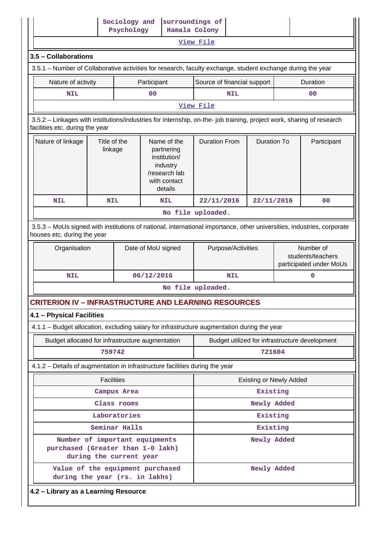|                                                                                                                                                                                                                                                                                                                                                |                         | Psychology    | Sociology and                                                                                     | surroundings of<br>Hamala Colony                                                                                       |                                |                                                |
|------------------------------------------------------------------------------------------------------------------------------------------------------------------------------------------------------------------------------------------------------------------------------------------------------------------------------------------------|-------------------------|---------------|---------------------------------------------------------------------------------------------------|------------------------------------------------------------------------------------------------------------------------|--------------------------------|------------------------------------------------|
|                                                                                                                                                                                                                                                                                                                                                |                         |               |                                                                                                   | View File                                                                                                              |                                |                                                |
| 3.5 - Collaborations                                                                                                                                                                                                                                                                                                                           |                         |               |                                                                                                   |                                                                                                                        |                                |                                                |
| 3.5.1 – Number of Collaborative activities for research, faculty exchange, student exchange during the year                                                                                                                                                                                                                                    |                         |               |                                                                                                   |                                                                                                                        |                                |                                                |
| Nature of activity                                                                                                                                                                                                                                                                                                                             |                         |               | Participant                                                                                       | Source of financial support                                                                                            |                                | Duration                                       |
| <b>NIL</b>                                                                                                                                                                                                                                                                                                                                     |                         |               | 0 <sub>0</sub>                                                                                    | <b>NIL</b>                                                                                                             |                                | 0 <sub>0</sub>                                 |
|                                                                                                                                                                                                                                                                                                                                                |                         |               |                                                                                                   | View File                                                                                                              |                                |                                                |
| 3.5.2 - Linkages with institutions/industries for internship, on-the- job training, project work, sharing of research<br>facilities etc. during the year                                                                                                                                                                                       |                         |               |                                                                                                   |                                                                                                                        |                                |                                                |
| Nature of linkage                                                                                                                                                                                                                                                                                                                              | Title of the<br>linkage |               | Name of the<br>partnering<br>institution/<br>industry<br>/research lab<br>with contact<br>details | <b>Duration From</b>                                                                                                   | <b>Duration To</b>             | Participant                                    |
| <b>NIL</b>                                                                                                                                                                                                                                                                                                                                     | <b>NIL</b>              |               | <b>NIL</b>                                                                                        | 22/11/2016                                                                                                             | 22/11/2016                     | 0 <sup>0</sup>                                 |
|                                                                                                                                                                                                                                                                                                                                                |                         |               |                                                                                                   | No file uploaded.                                                                                                      |                                |                                                |
| houses etc. during the year                                                                                                                                                                                                                                                                                                                    |                         |               |                                                                                                   | 3.5.3 - MoUs signed with institutions of national, international importance, other universities, industries, corporate |                                |                                                |
| Organisation                                                                                                                                                                                                                                                                                                                                   |                         |               |                                                                                                   |                                                                                                                        |                                |                                                |
|                                                                                                                                                                                                                                                                                                                                                |                         |               | Date of MoU signed                                                                                | Purpose/Activities                                                                                                     |                                | Number of<br>students/teachers                 |
| <b>NIL</b>                                                                                                                                                                                                                                                                                                                                     |                         |               | 06/12/2016                                                                                        | <b>NIL</b>                                                                                                             |                                | participated under MoUs<br>$\mathbf 0$         |
|                                                                                                                                                                                                                                                                                                                                                |                         |               |                                                                                                   | No file uploaded.                                                                                                      |                                |                                                |
|                                                                                                                                                                                                                                                                                                                                                |                         |               |                                                                                                   |                                                                                                                        |                                |                                                |
|                                                                                                                                                                                                                                                                                                                                                |                         |               |                                                                                                   |                                                                                                                        |                                |                                                |
|                                                                                                                                                                                                                                                                                                                                                |                         |               |                                                                                                   |                                                                                                                        |                                |                                                |
| Budget allocated for infrastructure augmentation                                                                                                                                                                                                                                                                                               |                         |               |                                                                                                   |                                                                                                                        |                                | Budget utilized for infrastructure development |
|                                                                                                                                                                                                                                                                                                                                                | 759742                  |               |                                                                                                   |                                                                                                                        | 721604                         |                                                |
|                                                                                                                                                                                                                                                                                                                                                |                         |               |                                                                                                   |                                                                                                                        |                                |                                                |
|                                                                                                                                                                                                                                                                                                                                                | <b>Facilities</b>       |               |                                                                                                   |                                                                                                                        | <b>Existing or Newly Added</b> |                                                |
|                                                                                                                                                                                                                                                                                                                                                |                         | Campus Area   |                                                                                                   |                                                                                                                        | Existing                       |                                                |
|                                                                                                                                                                                                                                                                                                                                                |                         | Class rooms   |                                                                                                   |                                                                                                                        | Newly Added                    |                                                |
|                                                                                                                                                                                                                                                                                                                                                |                         | Laboratories  |                                                                                                   |                                                                                                                        | Existing                       |                                                |
|                                                                                                                                                                                                                                                                                                                                                |                         | Seminar Halls |                                                                                                   |                                                                                                                        | Existing                       |                                                |
| <b>CRITERION IV - INFRASTRUCTURE AND LEARNING RESOURCES</b><br>4.1 - Physical Facilities<br>4.1.1 - Budget allocation, excluding salary for infrastructure augmentation during the year<br>4.1.2 – Details of augmentation in infrastructure facilities during the year<br>Number of important equipments<br>purchased (Greater than 1-0 lakh) | during the current year |               |                                                                                                   |                                                                                                                        | Newly Added                    |                                                |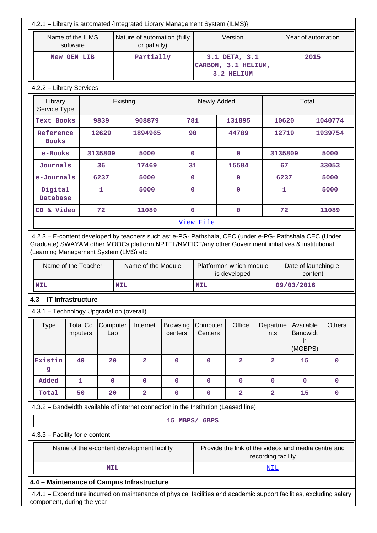| 4.2.1 - Library is automated {Integrated Library Management System (ILMS)}                                                                         |                              |                 |     |                                             |                            |                     |                                                     |                    |                    |                                               |               |
|----------------------------------------------------------------------------------------------------------------------------------------------------|------------------------------|-----------------|-----|---------------------------------------------|----------------------------|---------------------|-----------------------------------------------------|--------------------|--------------------|-----------------------------------------------|---------------|
|                                                                                                                                                    | Name of the ILMS<br>software |                 |     | Nature of automation (fully<br>or patially) |                            |                     | Version                                             |                    | Year of automation |                                               |               |
|                                                                                                                                                    | New GEN LIB                  |                 |     | Partially                                   |                            |                     | 3.1 DETA, 3.1<br>CARBON, 3.1 HELIUM,<br>3.2 HELIUM  |                    | 2015               |                                               |               |
| 4.2.2 - Library Services                                                                                                                           |                              |                 |     |                                             |                            |                     |                                                     |                    |                    |                                               |               |
| Library<br>Service Type                                                                                                                            |                              |                 |     | Existing                                    |                            | Newly Added         |                                                     |                    | Total              |                                               |               |
| Text Books                                                                                                                                         |                              | 9839            |     | 908879<br>781                               |                            | 131895              |                                                     |                    | 10620              |                                               | 1040774       |
| Reference<br><b>Books</b>                                                                                                                          |                              | 12629           |     | 1894965                                     | 90                         |                     | 44789                                               |                    | 12719              |                                               | 1939754       |
| e-Books                                                                                                                                            |                              | 3135809         |     | 5000                                        | $\mathbf 0$                |                     | $\mathbf 0$                                         |                    | 3135809            |                                               | 5000          |
| Journals                                                                                                                                           |                              | 36              |     | 17469                                       | 31                         |                     | 15584                                               |                    | 67                 |                                               | 33053         |
| e-Journals                                                                                                                                         |                              | 6237            |     | 5000                                        | $\mathbf 0$                |                     | $\mathbf 0$                                         |                    | 6237               |                                               | 5000          |
| Digital<br>Database                                                                                                                                |                              | 1               |     | 5000                                        | $\mathbf 0$                |                     | $\mathbf{O}$                                        |                    | 1                  |                                               | 5000          |
| CD & Video                                                                                                                                         |                              | 72              |     | 11089                                       | $\mathbf 0$                |                     | $\mathbf 0$                                         |                    | 72                 |                                               | 11089         |
|                                                                                                                                                    |                              |                 |     |                                             |                            | View File           |                                                     |                    |                    |                                               |               |
| (Learning Management System (LMS) etc                                                                                                              | Name of the Teacher          |                 |     | Name of the Module                          |                            |                     | Platformon which module<br>is developed             |                    |                    | Date of launching e-<br>content               |               |
| <b>NIL</b>                                                                                                                                         |                              |                 | NIL |                                             |                            | <b>NIL</b>          |                                                     |                    |                    | 09/03/2016                                    |               |
| 4.3 - IT Infrastructure                                                                                                                            |                              |                 |     |                                             |                            |                     |                                                     |                    |                    |                                               |               |
| 4.3.1 - Technology Upgradation (overall)                                                                                                           |                              |                 |     |                                             |                            |                     |                                                     |                    |                    |                                               |               |
| <b>Type</b>                                                                                                                                        | <b>Total Co</b><br>mputers   | Computer<br>Lab |     | Internet                                    | <b>Browsing</b><br>centers | Computer<br>Centers | Office                                              | Departme<br>nts    |                    | Available<br><b>Bandwidt</b><br>h.<br>(MGBPS) | <b>Others</b> |
| Existin<br>g                                                                                                                                       | 49                           | 20              |     | $\overline{\mathbf{2}}$                     | $\mathbf{O}$               | $\mathbf 0$         | $\overline{2}$                                      | $\overline{2}$     |                    | 15                                            | $\mathbf 0$   |
| Added                                                                                                                                              | 1                            | $\mathbf 0$     |     | 0                                           | 0                          | $\mathbf 0$         | 0                                                   | 0                  |                    | $\mathbf 0$                                   | 0             |
| Total                                                                                                                                              | 50                           | 20              |     | $\overline{\mathbf{2}}$                     | 0                          | 0                   | $\overline{\mathbf{2}}$                             | $\mathbf{2}$       |                    | 15                                            | 0             |
| 4.3.2 - Bandwidth available of internet connection in the Institution (Leased line)                                                                |                              |                 |     |                                             |                            |                     |                                                     |                    |                    |                                               |               |
|                                                                                                                                                    |                              |                 |     |                                             | 15 MBPS/ GBPS              |                     |                                                     |                    |                    |                                               |               |
| 4.3.3 - Facility for e-content                                                                                                                     |                              |                 |     |                                             |                            |                     |                                                     |                    |                    |                                               |               |
|                                                                                                                                                    |                              |                 |     | Name of the e-content development facility  |                            |                     | Provide the link of the videos and media centre and | recording facility |                    |                                               |               |
|                                                                                                                                                    |                              | <b>NIL</b>      |     |                                             |                            |                     |                                                     | <u>NIL</u>         |                    |                                               |               |
| 4.4 - Maintenance of Campus Infrastructure                                                                                                         |                              |                 |     |                                             |                            |                     |                                                     |                    |                    |                                               |               |
| 4.4.1 – Expenditure incurred on maintenance of physical facilities and academic support facilities, excluding salary<br>component, during the year |                              |                 |     |                                             |                            |                     |                                                     |                    |                    |                                               |               |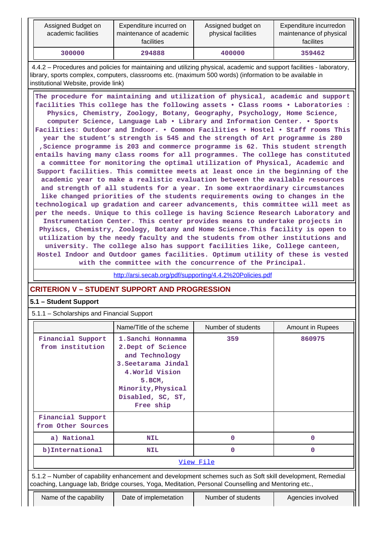| Assigned Budget on<br>academic facilities | Expenditure incurred on<br>maintenance of academic<br>facilities | Assigned budget on<br>physical facilities | Expenditure incurredon<br>maintenance of physical<br>facilites |
|-------------------------------------------|------------------------------------------------------------------|-------------------------------------------|----------------------------------------------------------------|
| 300000                                    | 294888                                                           | 400000                                    | 359462                                                         |

 4.4.2 – Procedures and policies for maintaining and utilizing physical, academic and support facilities - laboratory, library, sports complex, computers, classrooms etc. (maximum 500 words) (information to be available in institutional Website, provide link)

 **The procedure for maintaining and utilization of physical, academic and support facilities This college has the following assets • Class rooms • Laboratories : Physics, Chemistry, Zoology, Botany, Geography, Psychology, Home Science, computer Science, Language Lab • Library and Information Center. • Sports Facilities: Outdoor and Indoor. • Common Facilities • Hostel • Staff rooms This year the student's strength is 545 and the strength of Art programme is 280 ,Science programme is 203 and commerce programme is 62. This student strength entails having many class rooms for all programmes. The college has constituted a committee for monitoring the optimal utilization of Physical, Academic and Support facilities. This committee meets at least once in the beginning of the academic year to make a realistic evaluation between the available resources and strength of all students for a year. In some extraordinary circumstances like changed priorities of the students requirements owing to changes in the technological up gradation and career advancements, this committee will meet as per the needs. Unique to this college is having Science Research Laboratory and Instrumentation Center. This center provides means to undertake projects in Phyiscs, Chemistry, Zoology, Botany and Home Science.This facility is open to utilization by the needy faculty and the students from other institutions and university. The college also has support facilities like, College canteen, Hostel Indoor and Outdoor games facilities. Optimum utility of these is vested with the committee with the concurrence of the Principal.**

<http://arsi.secab.org/pdf/supporting/4.4.2%20Policies.pdf>

# **CRITERION V – STUDENT SUPPORT AND PROGRESSION**

### **5.1 – Student Support**

5.1.1 – Scholarships and Financial Support

|                                         | Name/Title of the scheme                                                                                                                                                  | Number of students                                                                                                                                                                                              | <b>Amount in Rupees</b> |
|-----------------------------------------|---------------------------------------------------------------------------------------------------------------------------------------------------------------------------|-----------------------------------------------------------------------------------------------------------------------------------------------------------------------------------------------------------------|-------------------------|
| Financial Support<br>from institution   | 1. Sanchi Honnamma<br>2. Dept of Science<br>and Technology<br>3. Seetarama Jindal<br>4. World Vision<br>$5.$ BCM,<br>Minority, Physical<br>Disabled, SC, ST,<br>Free ship | 359                                                                                                                                                                                                             | 860975                  |
| Financial Support<br>from Other Sources |                                                                                                                                                                           |                                                                                                                                                                                                                 |                         |
| a) National                             | <b>NIL</b>                                                                                                                                                                | 0                                                                                                                                                                                                               | 0                       |
| b)International                         | <b>NIL</b>                                                                                                                                                                | 0                                                                                                                                                                                                               | 0                       |
|                                         |                                                                                                                                                                           | View File                                                                                                                                                                                                       |                         |
|                                         |                                                                                                                                                                           | 5.1.2 - Number of capability enhancement and development schemes such as Soft skill development, Remedial<br>coaching, Language lab, Bridge courses, Yoga, Meditation, Personal Counselling and Mentoring etc., |                         |
| Name of the capability                  | Date of implemetation                                                                                                                                                     | Number of students                                                                                                                                                                                              | Agencies involved       |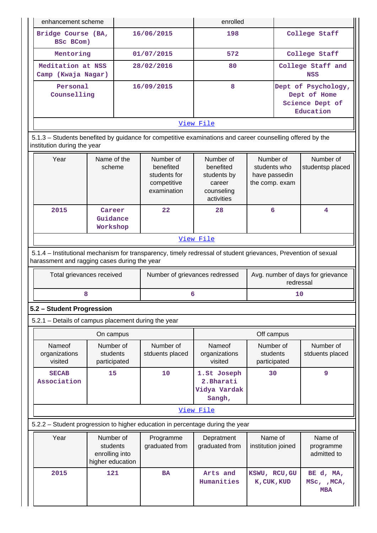| $\mathcal{L}$                           | $N =$                                                                                                                                    | <b>N</b> Losselland | <b>N</b> Louis L | Note that the line | Note that the base of the                                           |  |  |  |  |  |
|-----------------------------------------|------------------------------------------------------------------------------------------------------------------------------------------|---------------------|------------------|--------------------|---------------------------------------------------------------------|--|--|--|--|--|
|                                         | 5.1.3 – Students benefited by guidance for competitive examinations and career counselling offered by the<br>institution during the year |                     |                  |                    |                                                                     |  |  |  |  |  |
|                                         |                                                                                                                                          |                     | View File        |                    |                                                                     |  |  |  |  |  |
| Personal<br>Counselling                 |                                                                                                                                          | 16/09/2015          | 8                |                    | Dept of Psychology,<br>Dept of Home<br>Science Dept of<br>Education |  |  |  |  |  |
| Meditation at NSS<br>Camp (Kwaja Nagar) |                                                                                                                                          | 28/02/2016          | 80               |                    | College Staff and<br><b>NSS</b>                                     |  |  |  |  |  |
| Mentoring                               |                                                                                                                                          | 01/07/2015          | 572              |                    | College Staff                                                       |  |  |  |  |  |
| Bridge Course (BA,<br>BSc BCom)         |                                                                                                                                          | 16/06/2015          | 198              |                    | College Staff                                                       |  |  |  |  |  |
| enhancement scheme                      |                                                                                                                                          |                     | enrolled         |                    |                                                                     |  |  |  |  |  |

|           | Year | Name of the<br>scheme          | Number of<br>benefited<br>students for<br>competitive<br>examination | Number of<br>benefited<br>students by<br>career<br>counseling<br>activities | Number of<br>students who<br>have passedin<br>the comp. exam | Number of<br>studentsp placed |  |  |  |  |
|-----------|------|--------------------------------|----------------------------------------------------------------------|-----------------------------------------------------------------------------|--------------------------------------------------------------|-------------------------------|--|--|--|--|
|           | 2015 | Career<br>Guidance<br>Workshop | 22 <sub>2</sub>                                                      | 28                                                                          | 6                                                            | 4                             |  |  |  |  |
| View File |      |                                |                                                                      |                                                                             |                                                              |                               |  |  |  |  |

 5.1.4 – Institutional mechanism for transparency, timely redressal of student grievances, Prevention of sexual harassment and ragging cases during the year

| Total grievances received | Number of grievances redressed | Avg. number of days for grievance<br>redressal |
|---------------------------|--------------------------------|------------------------------------------------|
|                           |                                |                                                |

# **5.2 – Student Progression**

5.2.1 – Details of campus placement during the year

|                                    | On campus                             |                              |                                                     | Off campus                            |                              |
|------------------------------------|---------------------------------------|------------------------------|-----------------------------------------------------|---------------------------------------|------------------------------|
| Nameof<br>organizations<br>visited | Number of<br>students<br>participated | Number of<br>stduents placed | Nameof<br>organizations<br>visited                  | Number of<br>students<br>participated | Number of<br>stduents placed |
| <b>SECAB</b><br>Association        | 15                                    | 10                           | 1.St Joseph<br>2. Bharati<br>Vidya Vardak<br>Sangh, | 30                                    | 9                            |
| ---                                |                                       |                              |                                                     |                                       |                              |

#### [View File](https://assessmentonline.naac.gov.in/public/Postacc/Placement/1626_Placement_1571916914.xlsx)

# 5.2.2 – Student progression to higher education in percentage during the year

| Year | Number of<br>students<br>enrolling into<br>higher education | Programme<br>graduated from | Depratment<br>graduated from | Name of<br>institution joined | Name of<br>programme<br>admitted to    |
|------|-------------------------------------------------------------|-----------------------------|------------------------------|-------------------------------|----------------------------------------|
| 2015 | 121                                                         | <b>BA</b>                   | Arts and<br>Humanities       | KSWU, RCU, GU<br>K, CUK, KUD  | BE d, MA,<br>MCA<br>MSC,<br><b>MBA</b> |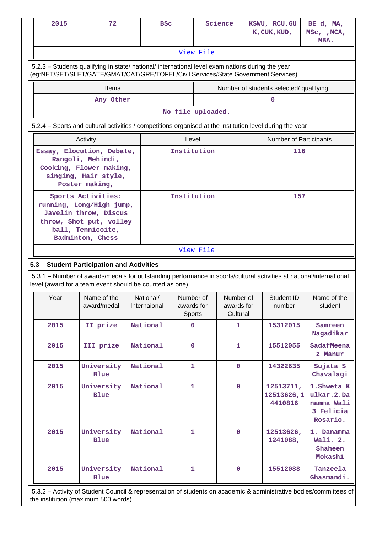| 2015                                                                                                                                                                                   | 72                         | <b>BSC</b>                |                                   |  | Science                             | KSWU, RCU, GU<br>K, CUK, KUD,           | BE d, MA,<br>MSC, , MCA,<br>MBA.                                 |
|----------------------------------------------------------------------------------------------------------------------------------------------------------------------------------------|----------------------------|---------------------------|-----------------------------------|--|-------------------------------------|-----------------------------------------|------------------------------------------------------------------|
|                                                                                                                                                                                        |                            |                           | View File                         |  |                                     |                                         |                                                                  |
| 5.2.3 - Students qualifying in state/ national/ international level examinations during the year<br>(eg:NET/SET/SLET/GATE/GMAT/CAT/GRE/TOFEL/Civil Services/State Government Services) |                            |                           |                                   |  |                                     |                                         |                                                                  |
|                                                                                                                                                                                        | <b>Items</b>               |                           |                                   |  |                                     | Number of students selected/ qualifying |                                                                  |
|                                                                                                                                                                                        | Any Other                  |                           |                                   |  |                                     | 0                                       |                                                                  |
|                                                                                                                                                                                        |                            |                           | No file uploaded.                 |  |                                     |                                         |                                                                  |
| 5.2.4 – Sports and cultural activities / competitions organised at the institution level during the year                                                                               |                            |                           |                                   |  |                                     |                                         |                                                                  |
|                                                                                                                                                                                        | Level<br>Activity          |                           |                                   |  |                                     | Number of Participants                  |                                                                  |
| Essay, Elocution, Debate,<br>Rangoli, Mehindi,<br>Cooking, Flower making,<br>singing, Hair style,<br>Poster making,                                                                    |                            | Institution               |                                   |  | 116                                 |                                         |                                                                  |
| Sports Activities:<br>running, Long/High jump,<br>Javelin throw, Discus<br>throw, Shot put, volley<br>ball, Tennicoite,<br>Badminton, Chess                                            |                            | Institution               |                                   |  | 157                                 |                                         |                                                                  |
|                                                                                                                                                                                        |                            |                           | View File                         |  |                                     |                                         |                                                                  |
| 5.3 - Student Participation and Activities                                                                                                                                             |                            |                           |                                   |  |                                     |                                         |                                                                  |
| 5.3.1 – Number of awards/medals for outstanding performance in sports/cultural activities at national/international<br>level (award for a team event should be counted as one)         |                            |                           |                                   |  |                                     |                                         |                                                                  |
| Year                                                                                                                                                                                   | Name of the<br>award/medal | National/<br>Internaional | Number of<br>awards for<br>Sports |  | Number of<br>awards for<br>Cultural | Student ID<br>number                    | Name of the<br>student                                           |
| 2015                                                                                                                                                                                   | II prize                   | National                  | 0                                 |  | 1                                   | 15312015                                | Samreen<br>Nagadikar                                             |
| 2015                                                                                                                                                                                   | III prize                  | National                  | $\mathbf 0$                       |  | $\mathbf{1}$                        | 15512055                                | SadafMeena<br>z Manur                                            |
| 2015                                                                                                                                                                                   | University<br><b>Blue</b>  | National                  | 1                                 |  | $\mathbf 0$                         | 14322635                                | Sujata S<br>Chavalagi                                            |
| 2015                                                                                                                                                                                   | University<br><b>Blue</b>  | National                  | $\mathbf{1}$                      |  | $\mathbf 0$                         | 12513711,<br>12513626,1<br>4410816      | 1. Shweta K<br>ulkar.2.Da<br>namma Wali<br>3 Felicia<br>Rosario. |
| 2015                                                                                                                                                                                   | University<br><b>Blue</b>  | National                  | $\mathbf{1}$                      |  | $\mathbf 0$                         | 12513626,<br>1241088,                   | 1. Danamma<br>Wali. 2.<br>Shaheen<br>Mokashi                     |
| 2015                                                                                                                                                                                   | University<br><b>Blue</b>  | National                  | $\mathbf{1}$                      |  | $\mathbf 0$                         | 15512088                                | Tanzeela<br>Ghasmandi.                                           |

 5.3.2 – Activity of Student Council & representation of students on academic & administrative bodies/committees of the institution (maximum 500 words)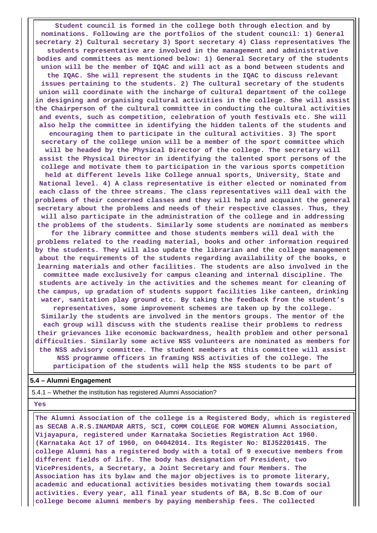**Student council is formed in the college both through election and by nominations. Following are the portfolios of the student council: 1) General secretary 2) Cultural secretary 3) Sport secretary 4) Class representatives The students representative are involved in the management and administrative bodies and committees as mentioned below: 1) General Secretary of the students union will be the member of IQAC and will act as a bond between students and the IQAC. She will represent the students in the IQAC to discuss relevant issues pertaining to the students. 2) The cultural secretary of the students union will coordinate with the incharge of cultural department of the college in designing and organising cultural activities in the college. She will assist the Chairperson of the cultural committee in conducting the cultural activities and events, such as competition, celebration of youth festivals etc. She will also help the committee in identifying the hidden talents of the students and encouraging them to participate in the cultural activities. 3) The sport secretary of the college union will be a member of the sport committee which will be headed by the Physical Director of the college. The secretary will assist the Physical Director in identifying the talented sport persons of the college and motivate them to participation in the various sports competition held at different levels like College annual sports, University, State and National level. 4) A class representative is either elected or nominated from each class of the three streams. The class representatives will deal with the problems of their concerned classes and they will help and acquaint the general secretary about the problems and needs of their respective classes. Thus, they will also participate in the administration of the college and in addressing the problems of the students. Similarly some students are nominated as members for the library committee and those students members will deal with the problems related to the reading material, books and other information required by the students. They will also update the librarian and the college management about the requirements of the students regarding availability of the books, e learning materials and other facilities. The students are also involved in the committee made exclusively for campus cleaning and internal discipline. The students are actively in the activities and the schemes meant for cleaning of the campus, up gradation of students support facilities like canteen, drinking water, sanitation play ground etc. By taking the feedback from the student's representatives, some improvement schemes are taken up by the college. Similarly the students are involved in the mentors groups. The mentor of the each group will discuss with the students realise their problems to redress their grievances like economic backwardness, health problem and other personal difficulties. Similarly some active NSS volunteers are nominated as members for the NSS advisory committee. The student members at this committee will assist NSS programme officers in framing NSS activities of the college. The participation of the students will help the NSS students to be part of**

#### **5.4 – Alumni Engagement**

5.4.1 – Whether the institution has registered Alumni Association?

#### **Yes**

 **The Alumni Association of the college is a Registered Body, which is registered as SECAB A.R.S.INAMDAR ARTS, SCI, COMM COLLEGE FOR WOMEN Alumni Association, Vijayapura, registered under Karnataka Societies Registration Act 1960. (Karnataka Act 17 of 1960, on 04042014. Its Register No: BIJ52201415. The college Alumni has a registered body with a total of 9 executive members from different fields of life. The body has designation of President, two VicePresidents, a Secretary, a Joint Secretary and four Members. The Association has its bylaw and the major objectives is to promote literary, academic and educational activities besides motivating them towards social activities. Every year, all final year students of BA, B.Sc B.Com of our college become alumni members by paying membership fees. The collected**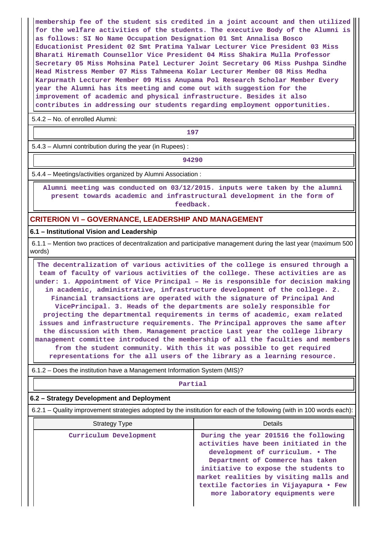**membership fee of the student sis credited in a joint account and then utilized for the welfare activities of the students. The executive Body of the Alumni is as follows: SI No Name Occupation Designation 01 Smt Annalisa Bosco Educationist President 02 Smt Pratima Yalwar Lecturer Vice President 03 Miss Bharati Hiremath Counsellor Vice President 04 Miss Shakira Mulla Professor Secretary 05 Miss Mohsina Patel Lecturer Joint Secretary 06 Miss Pushpa Sindhe Head Mistress Member 07 Miss Tahmeena Kolar Lecturer Member 08 Miss Medha Karpurmath Lecturer Member 09 Miss Anupama Pol Research Scholar Member Every year the Alumni has its meeting and come out with suggestion for the improvement of academic and physical infrastructure. Besides it also contributes in addressing our students regarding employment opportunities.**

5.4.2 – No. of enrolled Alumni:

**197**

5.4.3 – Alumni contribution during the year (in Rupees) :

**94290**

5.4.4 – Meetings/activities organized by Alumni Association :

 **Alumni meeting was conducted on 03/12/2015. inputs were taken by the alumni present towards academic and infrastructural development in the form of feedback.**

#### **CRITERION VI – GOVERNANCE, LEADERSHIP AND MANAGEMENT**

#### **6.1 – Institutional Vision and Leadership**

 6.1.1 – Mention two practices of decentralization and participative management during the last year (maximum 500 words)

 **The decentralization of various activities of the college is ensured through a team of faculty of various activities of the college. These activities are as under: 1. Appointment of Vice Principal – He is responsible for decision making in academic, administrative, infrastructure development of the college. 2. Financial transactions are operated with the signature of Principal And VicePrincipal. 3. Heads of the departments are solely responsible for projecting the departmental requirements in terms of academic, exam related issues and infrastructure requirements. The Principal approves the same after the discussion with them. Management practice Last year the college library management committee introduced the membership of all the faculties and members from the student community. With this it was possible to get required representations for the all users of the library as a learning resource.**

6.1.2 – Does the institution have a Management Information System (MIS)?

# **Partial**

#### **6.2 – Strategy Development and Deployment**

6.2.1 – Quality improvement strategies adopted by the institution for each of the following (with in 100 words each):

| <b>Strategy Type</b>   | Details                                                                                                                                                                                                                                                                                                             |
|------------------------|---------------------------------------------------------------------------------------------------------------------------------------------------------------------------------------------------------------------------------------------------------------------------------------------------------------------|
| Curriculum Development | During the year 201516 the following<br>activities have been initiated in the<br>development of curriculum. . The<br>Department of Commerce has taken<br>initiative to expose the students to<br>market realities by visiting malls and<br>textile factories in Vijayapura • Few<br>more laboratory equipments were |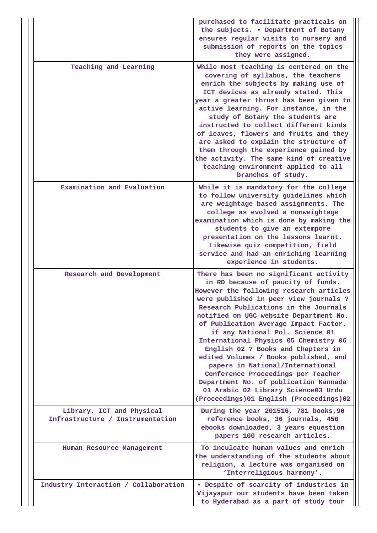|                                                               | purchased to facilitate practicals on<br>the subjects. . Department of Botany<br>ensures regular visits to nursery and<br>submission of reports on the topics<br>they were assigned.                                                                                                                                                                                                                                                                                                                                                                                                                                                                            |
|---------------------------------------------------------------|-----------------------------------------------------------------------------------------------------------------------------------------------------------------------------------------------------------------------------------------------------------------------------------------------------------------------------------------------------------------------------------------------------------------------------------------------------------------------------------------------------------------------------------------------------------------------------------------------------------------------------------------------------------------|
| Teaching and Learning                                         | While most teaching is centered on the<br>covering of syllabus, the teachers<br>enrich the subjects by making use of<br>ICT devices as already stated. This<br>year a greater thrust has been given to<br>active learning. For instance, in the<br>study of Botany the students are<br>instructed to collect different kinds<br>of leaves, flowers and fruits and they<br>are asked to explain the structure of<br>them through the experience gained by<br>the activity. The same kind of creative<br>teaching environment applied to all<br>branches of study.                                                                                                |
| Examination and Evaluation                                    | While it is mandatory for the college<br>to follow university guidelines which<br>are weightage based assignments. The<br>college as evolved a nonweightage<br>examination which is done by making the<br>students to give an extempore<br>presentation on the lessons learnt.<br>Likewise quiz competition, field<br>service and had an enriching learning<br>experience in students.                                                                                                                                                                                                                                                                          |
| Research and Development                                      | There has been no significant activity<br>in RD because of paucity of funds.<br>However the following research articles<br>were published in peer view journals ?<br>Research Publications in the Journals<br>notified on UGC website Department No.<br>of Publication Average Impact Factor,<br>if any National Pol. Science 01<br>International Physics 05 Chemistry 06<br>English 02 ? Books and Chapters in<br>edited Volumes / Books published, and<br>papers in National/International<br>Conference Proceedings per Teacher<br>Department No. of publication Kannada<br>01 Arabic 02 Library Science03 Urdu<br>(Proceedings) 01 English (Proceedings) 02 |
| Library, ICT and Physical<br>Infrastructure / Instrumentation | During the year 201516, 781 books, 90<br>reference books, 36 journals, 450<br>ebooks downloaded, 3 years equestion<br>papers 100 research articles.                                                                                                                                                                                                                                                                                                                                                                                                                                                                                                             |
| Human Resource Management                                     | To inculcate human values and enrich<br>the understanding of the students about<br>religion, a lecture was organised on<br>'Interreligious harmony'.                                                                                                                                                                                                                                                                                                                                                                                                                                                                                                            |
| Industry Interaction / Collaboration                          | . Despite of scarcity of industries in<br>Vijayapur our students have been taken<br>to Hyderabad as a part of study tour                                                                                                                                                                                                                                                                                                                                                                                                                                                                                                                                        |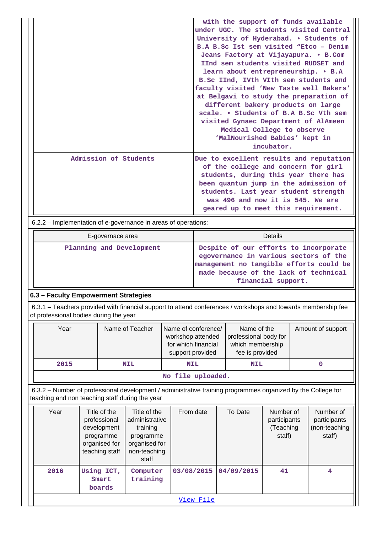|                       | with the support of funds available<br>under UGC. The students visited Central<br>University of Hyderabad. . Students of<br>B.A B.Sc Ist sem visited "Etco - Denim<br>Jeans Factory at Vijayapura. . B.Com<br>IInd sem students visited RUDSET and<br>learn about entrepreneurship. • B.A<br>B.Sc IInd, IVth VIth sem students and<br>faculty visited 'New Taste well Bakers'<br>at Belgavi to study the preparation of<br>different bakery products on large<br>scale. • Students of B.A B.Sc Vth sem<br>visited Gynaec Department of AlAmeen<br>Medical College to observe<br>'MalNourished Babies' kept in<br>incubator. |
|-----------------------|-----------------------------------------------------------------------------------------------------------------------------------------------------------------------------------------------------------------------------------------------------------------------------------------------------------------------------------------------------------------------------------------------------------------------------------------------------------------------------------------------------------------------------------------------------------------------------------------------------------------------------|
| Admission of Students | Due to excellent results and reputation<br>of the college and concern for girl<br>students, during this year there has<br>been quantum jump in the admission of<br>students. Last year student strength<br>was 496 and now it is 545. We are<br>geared up to meet this requirement.                                                                                                                                                                                                                                                                                                                                         |

6.2.2 – Implementation of e-governance in areas of operations:

| E-governace area         | Details                                                                                                                                                                                  |
|--------------------------|------------------------------------------------------------------------------------------------------------------------------------------------------------------------------------------|
| Planning and Development | Despite of our efforts to incorporate<br>egovernance in various sectors of the<br>management no tangible efforts could be<br>made because of the lack of technical<br>financial support. |

# **6.3 – Faculty Empowerment Strategies**

 6.3.1 – Teachers provided with financial support to attend conferences / workshops and towards membership fee of professional bodies during the year

| Year | Name of Teacher     | Name of conference/<br>workshop attended<br>for which financial<br>support provided | Name of the<br>professional body for<br>which membership<br>fee is provided | Amount of support |  |  |  |
|------|---------------------|-------------------------------------------------------------------------------------|-----------------------------------------------------------------------------|-------------------|--|--|--|
| 2015 | <b>NIL</b>          | <b>NIL</b>                                                                          | <b>NIL</b>                                                                  |                   |  |  |  |
|      | $M_0$ file unloaded |                                                                                     |                                                                             |                   |  |  |  |

**No file uploaded.**

 6.3.2 – Number of professional development / administrative training programmes organized by the College for teaching and non teaching staff during the year

| Year | Title of the<br>professional<br>development<br>programme<br>organised for<br>teaching staff | Title of the<br>administrative<br>training<br>programme<br>organised for<br>non-teaching<br>staff | From date  | To Date    | Number of<br>participants<br>(Teaching<br>staff) | Number of<br>participants<br>(non-teaching<br>staff) |  |
|------|---------------------------------------------------------------------------------------------|---------------------------------------------------------------------------------------------------|------------|------------|--------------------------------------------------|------------------------------------------------------|--|
| 2016 | Using ICT,<br>Smart<br>boards                                                               | Computer<br>training                                                                              | 03/08/2015 | 04/09/2015 | 41                                               | 4                                                    |  |
|      | View File                                                                                   |                                                                                                   |            |            |                                                  |                                                      |  |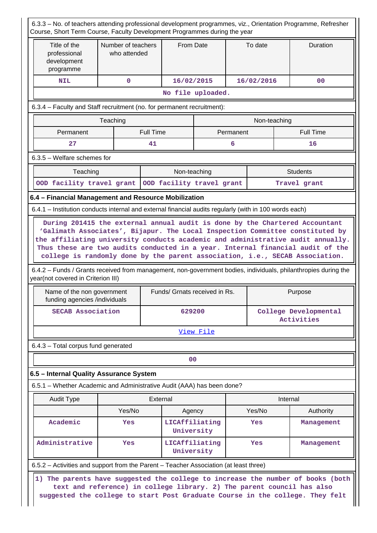| Course, Short Term Course, Faculty Development Programmes during the year                                                                                                                                                                                                                                                                       |                                                                               |                  |                              |           |              | 6.3.3 - No. of teachers attending professional development programmes, viz., Orientation Programme, Refresher                                             |  |
|-------------------------------------------------------------------------------------------------------------------------------------------------------------------------------------------------------------------------------------------------------------------------------------------------------------------------------------------------|-------------------------------------------------------------------------------|------------------|------------------------------|-----------|--------------|-----------------------------------------------------------------------------------------------------------------------------------------------------------|--|
| Title of the<br>professional<br>development<br>programme                                                                                                                                                                                                                                                                                        | Number of teachers<br>who attended                                            |                  | From Date                    | To date   |              | Duration                                                                                                                                                  |  |
| <b>NIL</b>                                                                                                                                                                                                                                                                                                                                      | $\mathbf{O}$                                                                  |                  | 16/02/2015                   |           | 16/02/2016   | 0 <sub>0</sub>                                                                                                                                            |  |
|                                                                                                                                                                                                                                                                                                                                                 |                                                                               |                  | No file uploaded.            |           |              |                                                                                                                                                           |  |
| 6.3.4 – Faculty and Staff recruitment (no. for permanent recruitment):                                                                                                                                                                                                                                                                          |                                                                               |                  |                              |           |              |                                                                                                                                                           |  |
|                                                                                                                                                                                                                                                                                                                                                 | Teaching                                                                      |                  |                              |           | Non-teaching |                                                                                                                                                           |  |
| Permanent                                                                                                                                                                                                                                                                                                                                       |                                                                               | <b>Full Time</b> |                              | Permanent |              | <b>Full Time</b>                                                                                                                                          |  |
| 27                                                                                                                                                                                                                                                                                                                                              |                                                                               | 41               |                              | 6         |              | 16                                                                                                                                                        |  |
| $6.3.5$ – Welfare schemes for                                                                                                                                                                                                                                                                                                                   |                                                                               |                  |                              |           |              |                                                                                                                                                           |  |
| Non-teaching<br><b>Students</b><br>Teaching                                                                                                                                                                                                                                                                                                     |                                                                               |                  |                              |           |              |                                                                                                                                                           |  |
| OOD facility travel grant                                                                                                                                                                                                                                                                                                                       |                                                                               |                  | OOD facility travel grant    |           |              | Travel grant                                                                                                                                              |  |
| 6.4 - Financial Management and Resource Mobilization                                                                                                                                                                                                                                                                                            |                                                                               |                  |                              |           |              |                                                                                                                                                           |  |
| 6.4.1 – Institution conducts internal and external financial audits regularly (with in 100 words each)                                                                                                                                                                                                                                          |                                                                               |                  |                              |           |              |                                                                                                                                                           |  |
| college is randomly done by the parent association, i.e., SECAB Association.<br>6.4.2 - Funds / Grants received from management, non-government bodies, individuals, philanthropies during the<br>year(not covered in Criterion III)<br>Funds/ Grnats received in Rs.<br>Purpose<br>Name of the non government<br>funding agencies /individuals |                                                                               |                  |                              |           |              |                                                                                                                                                           |  |
| <b>SECAB Association</b>                                                                                                                                                                                                                                                                                                                        |                                                                               |                  | 629200                       |           |              | College Developmental<br>Activities                                                                                                                       |  |
|                                                                                                                                                                                                                                                                                                                                                 |                                                                               |                  | View File                    |           |              |                                                                                                                                                           |  |
| 6.4.3 - Total corpus fund generated                                                                                                                                                                                                                                                                                                             |                                                                               |                  |                              |           |              |                                                                                                                                                           |  |
|                                                                                                                                                                                                                                                                                                                                                 |                                                                               |                  | 0 <sub>0</sub>               |           |              |                                                                                                                                                           |  |
| 6.5 - Internal Quality Assurance System                                                                                                                                                                                                                                                                                                         |                                                                               |                  |                              |           |              |                                                                                                                                                           |  |
| 6.5.1 - Whether Academic and Administrative Audit (AAA) has been done?                                                                                                                                                                                                                                                                          |                                                                               |                  |                              |           |              |                                                                                                                                                           |  |
| <b>Audit Type</b>                                                                                                                                                                                                                                                                                                                               |                                                                               | External         |                              |           |              | Internal                                                                                                                                                  |  |
|                                                                                                                                                                                                                                                                                                                                                 | Yes/No                                                                        |                  | Agency                       |           | Yes/No       | Authority                                                                                                                                                 |  |
| Academic                                                                                                                                                                                                                                                                                                                                        | Yes                                                                           |                  | LICAffiliating<br>University |           | <b>Yes</b>   | Management                                                                                                                                                |  |
| Administrative<br>LICAffiliating<br>Yes<br>University                                                                                                                                                                                                                                                                                           |                                                                               |                  |                              | Yes       | Management   |                                                                                                                                                           |  |
| 6.5.2 – Activities and support from the Parent – Teacher Association (at least three)                                                                                                                                                                                                                                                           |                                                                               |                  |                              |           |              |                                                                                                                                                           |  |
|                                                                                                                                                                                                                                                                                                                                                 |                                                                               |                  |                              |           |              | 1) The parents have suggested the college to increase the number of books (both<br>text and reference) in college library. 2) The parent council has also |  |
|                                                                                                                                                                                                                                                                                                                                                 | suggested the college to start Post Graduate Course in the college. They felt |                  |                              |           |              |                                                                                                                                                           |  |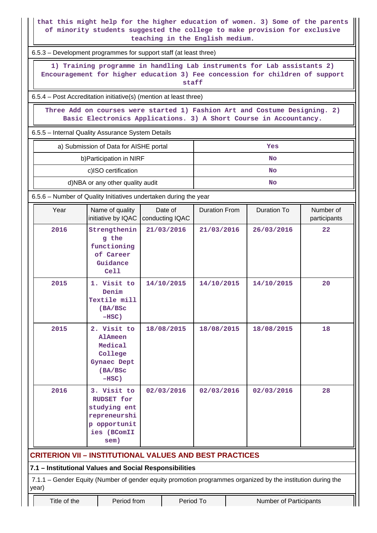**that this might help for the higher education of women. 3) Some of the parents of minority students suggested the college to make provision for exclusive teaching in the English medium.**

6.5.3 – Development programmes for support staff (at least three)

 **1) Training programme in handling Lab instruments for Lab assistants 2) Encouragement for higher education 3) Fee concession for children of support staff**

6.5.4 – Post Accreditation initiative(s) (mention at least three)

 **Three Add on courses were started 1) Fashion Art and Costume Designing. 2) Basic Electronics Applications. 3) A Short Course in Accountancy.**

6.5.5 – Internal Quality Assurance System Details

| a) Submission of Data for AISHE portal | Yes |
|----------------------------------------|-----|
| b) Participation in NIRF               | No  |
| c)ISO certification                    | No  |
| d)NBA or any other quality audit       | No  |

6.5.6 – Number of Quality Initiatives undertaken during the year

| Year                                                                                                                 | Name of quality<br>initiative by IQAC                                                            | Date of<br>conducting IQAC | <b>Duration From</b> | <b>Duration To</b> |  | Number of<br>participants |  |  |
|----------------------------------------------------------------------------------------------------------------------|--------------------------------------------------------------------------------------------------|----------------------------|----------------------|--------------------|--|---------------------------|--|--|
| 2016                                                                                                                 | Strengthenin<br>g the<br>functioning<br>of Career<br>Guidance<br>Ce11                            | 21/03/2016                 | 21/03/2016           | 26/03/2016         |  | 22                        |  |  |
| 2015                                                                                                                 | 1. Visit to<br>Denim<br>Textile mill<br>(BA/BSc<br>$-HSC)$                                       | 14/10/2015                 | 14/10/2015           | 14/10/2015         |  | 20                        |  |  |
| 2015                                                                                                                 | 2. Visit to<br>AlAmeen<br>Medical<br>College<br><b>Gynaec Dept</b><br>(BA/BSc<br>$-HSC)$         | 18/08/2015                 | 18/08/2015           | 18/08/2015         |  | 18                        |  |  |
| 2016                                                                                                                 | 3. Visit to<br>RUDSET for<br>studying ent<br>repreneurshi<br>p opportunit<br>ies (BComII<br>sem) | 02/03/2016                 | 02/03/2016           | 02/03/2016         |  | 28                        |  |  |
| <b>CRITERION VII - INSTITUTIONAL VALUES AND BEST PRACTICES</b>                                                       |                                                                                                  |                            |                      |                    |  |                           |  |  |
| 7.1 - Institutional Values and Social Responsibilities                                                               |                                                                                                  |                            |                      |                    |  |                           |  |  |
| 7.1.1 - Gender Equity (Number of gender equity promotion programmes organized by the institution during the<br>year) |                                                                                                  |                            |                      |                    |  |                           |  |  |
| Title of the                                                                                                         | Period from<br>Period To<br><b>Number of Participants</b>                                        |                            |                      |                    |  |                           |  |  |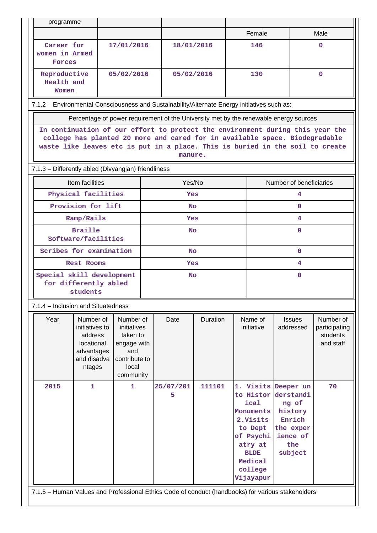| programme                                                                                                                                                                                                                                                |                                                                                             |                                                                                                   |            |                |          |     |                                                                                                                                  |                                                                                                           |                                                     |  |
|----------------------------------------------------------------------------------------------------------------------------------------------------------------------------------------------------------------------------------------------------------|---------------------------------------------------------------------------------------------|---------------------------------------------------------------------------------------------------|------------|----------------|----------|-----|----------------------------------------------------------------------------------------------------------------------------------|-----------------------------------------------------------------------------------------------------------|-----------------------------------------------------|--|
|                                                                                                                                                                                                                                                          |                                                                                             |                                                                                                   |            |                |          |     | Female                                                                                                                           |                                                                                                           | Male                                                |  |
| Career for<br>women in Armed<br><b>Forces</b>                                                                                                                                                                                                            |                                                                                             | 17/01/2016                                                                                        |            | 18/01/2016     |          | 146 |                                                                                                                                  |                                                                                                           | 0                                                   |  |
| Reproductive<br>05/02/2016<br>Health and<br>Women                                                                                                                                                                                                        |                                                                                             |                                                                                                   | 05/02/2016 |                | 130      |     |                                                                                                                                  | $\Omega$                                                                                                  |                                                     |  |
| 7.1.2 - Environmental Consciousness and Sustainability/Alternate Energy initiatives such as:                                                                                                                                                             |                                                                                             |                                                                                                   |            |                |          |     |                                                                                                                                  |                                                                                                           |                                                     |  |
|                                                                                                                                                                                                                                                          | Percentage of power requirement of the University met by the renewable energy sources       |                                                                                                   |            |                |          |     |                                                                                                                                  |                                                                                                           |                                                     |  |
| In continuation of our effort to protect the environment during this year the<br>college has planted 20 more and cared for in available space. Biodegradable<br>waste like leaves etc is put in a place. This is buried in the soil to create<br>manure. |                                                                                             |                                                                                                   |            |                |          |     |                                                                                                                                  |                                                                                                           |                                                     |  |
|                                                                                                                                                                                                                                                          | 7.1.3 - Differently abled (Divyangjan) friendliness                                         |                                                                                                   |            |                |          |     |                                                                                                                                  |                                                                                                           |                                                     |  |
|                                                                                                                                                                                                                                                          | Item facilities                                                                             |                                                                                                   |            | Yes/No         |          |     |                                                                                                                                  | Number of beneficiaries                                                                                   |                                                     |  |
|                                                                                                                                                                                                                                                          | Physical facilities                                                                         |                                                                                                   | Yes        |                |          | 4   |                                                                                                                                  |                                                                                                           |                                                     |  |
|                                                                                                                                                                                                                                                          | Provision for lift                                                                          |                                                                                                   |            | No.            |          |     | $\Omega$                                                                                                                         |                                                                                                           |                                                     |  |
| Ramp/Rails                                                                                                                                                                                                                                               |                                                                                             |                                                                                                   | Yes        |                |          | 4   |                                                                                                                                  |                                                                                                           |                                                     |  |
|                                                                                                                                                                                                                                                          | <b>Braille</b><br>Software/facilities                                                       |                                                                                                   |            | <b>No</b>      |          |     | $\Omega$                                                                                                                         |                                                                                                           |                                                     |  |
|                                                                                                                                                                                                                                                          | Scribes for examination                                                                     |                                                                                                   |            | <b>No</b>      |          |     | $\mathbf{0}$                                                                                                                     |                                                                                                           |                                                     |  |
|                                                                                                                                                                                                                                                          | Rest Rooms                                                                                  |                                                                                                   |            | Yes            |          |     | 4                                                                                                                                |                                                                                                           |                                                     |  |
| Special skill development<br>for differently abled<br>students                                                                                                                                                                                           |                                                                                             |                                                                                                   | <b>No</b>  |                |          |     | $\Omega$                                                                                                                         |                                                                                                           |                                                     |  |
|                                                                                                                                                                                                                                                          | 7.1.4 - Inclusion and Situatedness                                                          |                                                                                                   |            |                |          |     |                                                                                                                                  |                                                                                                           |                                                     |  |
| Year                                                                                                                                                                                                                                                     | Number of<br>initiatives to<br>address<br>locational<br>advantages<br>and disadva<br>ntages | Number of<br>initiatives<br>taken to<br>engage with<br>and<br>contribute to<br>local<br>community |            | Date           | Duration |     | Name of<br>initiative                                                                                                            | <b>Issues</b><br>addressed                                                                                | Number of<br>participating<br>students<br>and staff |  |
| 2015                                                                                                                                                                                                                                                     | $\mathbf{1}$                                                                                | 1                                                                                                 |            | 25/07/201<br>5 | 111101   |     | to Histor<br>ical<br>Monuments<br>2. Visits<br>to Dept<br>of Psychi<br>atry at<br><b>BLDE</b><br>Medical<br>college<br>Vijayapur | 1. Visits Deeper un<br>derstandi<br>ng of<br>history<br>Enrich<br>the exper<br>ience of<br>the<br>subject | 70                                                  |  |
| 7.1.5 - Human Values and Professional Ethics Code of conduct (handbooks) for various stakeholders                                                                                                                                                        |                                                                                             |                                                                                                   |            |                |          |     |                                                                                                                                  |                                                                                                           |                                                     |  |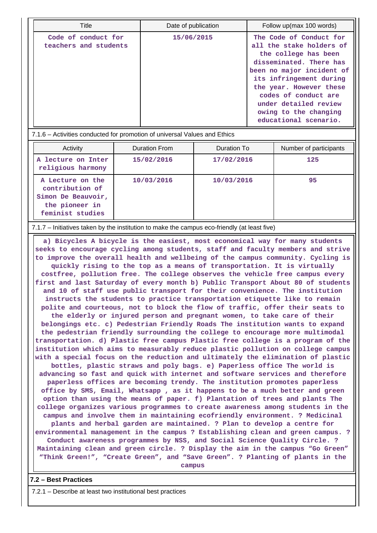| Title                                        | Date of publication | Follow up(max 100 words)                                                                                                                                                                                                                                                                     |
|----------------------------------------------|---------------------|----------------------------------------------------------------------------------------------------------------------------------------------------------------------------------------------------------------------------------------------------------------------------------------------|
| Code of conduct for<br>teachers and students | 15/06/2015          | The Code of Conduct for<br>all the stake holders of<br>the college has been<br>disseminated. There has<br>been no major incident of<br>its infringement during<br>the year. However these<br>codes of conduct are<br>under detailed review<br>owing to the changing<br>educational scenario. |

7.1.6 – Activities conducted for promotion of universal Values and Ethics

| Activity                                                                                        | Duration From | Duration To | Number of participants |
|-------------------------------------------------------------------------------------------------|---------------|-------------|------------------------|
| A lecture on Inter<br>religious harmony                                                         | 15/02/2016    | 17/02/2016  | 125                    |
| A Lecture on the<br>contribution of<br>Simon De Beauvoir,<br>the pioneer in<br>feminist studies | 10/03/2016    | 10/03/2016  | 95                     |

7.1.7 – Initiatives taken by the institution to make the campus eco-friendly (at least five)

 **a) Bicycles A bicycle is the easiest, most economical way for many students seeks to encourage cycling among students, staff and faculty members and strive to improve the overall health and wellbeing of the campus community. Cycling is quickly rising to the top as a means of transportation. It is virtually costfree, pollution free. The college observes the vehicle free campus every first and last Saturday of every month b) Public Transport About 80 of students and 10 of staff use public transport for their convenience. The institution instructs the students to practice transportation etiquette like to remain polite and courteous, not to block the flow of traffic, offer their seats to the elderly or injured person and pregnant women, to take care of their belongings etc. c) Pedestrian Friendly Roads The institution wants to expand the pedestrian friendly surrounding the college to encourage more multimodal transportation. d) Plastic free campus Plastic free college is a program of the institution which aims to measurably reduce plastic pollution on college campus with a special focus on the reduction and ultimately the elimination of plastic bottles, plastic straws and poly bags. e) Paperless office The world is advancing so fast and quick with internet and software services and therefore paperless offices are becoming trendy. The institution promotes paperless office by SMS, Email, Whatsapp , as it happens to be a much better and green option than using the means of paper. f) Plantation of trees and plants The college organizes various programmes to create awareness among students in the campus and involve them in maintaining ecofriendly environment. ? Medicinal plants and herbal garden are maintained. ? Plan to develop a centre for environmental management in the campus ? Establishing clean and green campus. ? Conduct awareness programmes by NSS, and Social Science Quality Circle. ? Maintaining clean and green circle. ? Display the aim in the campus "Go Green" "Think Green!", "Create Green", and "Save Green". ? Planting of plants in the**

**campus**

### **7.2 – Best Practices**

7.2.1 – Describe at least two institutional best practices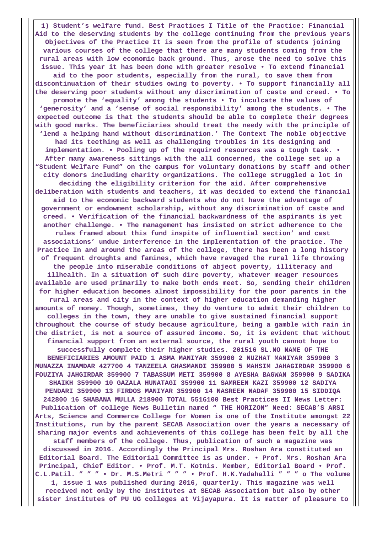**1) Student's welfare fund. Best Practices I Title of the Practice: Financial Aid to the deserving students by the college continuing from the previous years Objectives of the Practice It is seen from the profile of students joining various courses of the college that there are many students coming from the rural areas with low economic back ground. Thus, arose the need to solve this issue. This year it has been done with greater resolve • To extend financial aid to the poor students, especially from the rural, to save them from discontinuation of their studies owing to poverty. • To support financially all the deserving poor students without any discrimination of caste and creed. • To promote the 'equality' among the students • To inculcate the values of 'generosity' and a 'sense of social responsibility' among the students. • The expected outcome is that the students should be able to complete their degrees with good marks. The beneficiaries should treat the needy with the principle of 'lend a helping hand without discrimination.' The Context The noble objective had its teething as well as challenging troubles in its designing and implementation. • Pooling up of the required resources was a tough task. • After many awareness sittings with the all concerned, the college set up a "Student Welfare Fund" on the campus for voluntary donations by staff and other city donors including charity organizations. The college struggled a lot in deciding the eligibility criterion for the aid. After comprehensive deliberation with students and teachers, it was decided to extend the financial aid to the economic backward students who do not have the advantage of government or endowment scholarship, without any discrimination of caste and creed. • Verification of the financial backwardness of the aspirants is yet another challenge. • The management has insisted on strict adherence to the rules framed about this fund inspite of influential section' and cast associations' undue interference in the implementation of the practice. The Practice In and around the areas of the college, there has been a long history of frequent droughts and famines, which have ravaged the rural life throwing the people into miserable conditions of abject poverty, illiteracy and illhealth. In a situation of such dire poverty, whatever meager resources available are used primarily to make both ends meet. So, sending their children for higher education becomes almost impossibility for the poor parents in the rural areas and city in the context of higher education demanding higher amounts of money. Though, sometimes, they do venture to admit their children to colleges in the town, they are unable to give sustained financial support throughout the course of study because agriculture, being a gamble with rain in the district, is not a source of assured income. So, it is evident that without financial support from an external source, the rural youth cannot hope to successfully complete their higher studies. 201516 SL.NO NAME OF THE BENEFICIARIES AMOUNT PAID 1 ASMA MANIYAR 359900 2 NUZHAT MANIYAR 359900 3 MUNAZZA INAMDAR 427700 4 TANZEELA GHASMANDI 359900 5 MAHSIM JAHAGIRDAR 359900 6 FOUZIYA JAHGIRDAR 359900 7 TABASSUM METI 359900 8 AYESHA BAGWAN 359900 9 SADIKA SHAIKH 359900 10 GAZALA HUNATAGI 359900 11 SAMREEN KAZI 359900 12 SADIYA PENDARI 359900 13 FIRDOS MANIYAR 359900 14 NASREEN NADAF 359900 15 SIDDIQA 242800 16 SHABANA MULLA 218900 TOTAL 5516100 Best Practices II News Letter: Publication of college News Bulletin named " THE HORIZON" Need: SECAB'S ARSI Arts, Science and Commerce College for Women is one of the Institute amongst 22 Institutions, run by the parent SECAB Association over the years a necessary of sharing major events and achievements of this college has been felt by all the staff members of the college. Thus, publication of such a magazine was discussed in 2016. Accordingly the Principal Mrs. Roshan Ara constituted an Editorial Board. The Editorial Committee is as under. • Prof. Mrs. Roshan Ara Principal, Chief Editor. • Prof. M.T. Kotnis. Member, Editorial Board • Prof. C.L.Patil. " " " • Dr. M.S.Metri " " " • Prof. H.K.Yadahalli " " " o The volume 1, issue 1 was published during 2016, quarterly. This magazine was well**

**received not only by the institutes at SECAB Association but also by other sister institutes of PU UG colleges at Vijayapura. It is matter of pleasure to**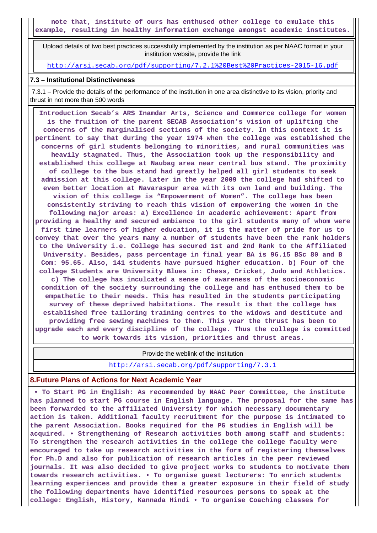**note that, institute of ours has enthused other college to emulate this example, resulting in healthy information exchange amongst academic institutes.**

 Upload details of two best practices successfully implemented by the institution as per NAAC format in your institution website, provide the link

<http://arsi.secab.org/pdf/supporting/7.2.1%20Best%20Practices-2015-16.pdf>

#### **7.3 – Institutional Distinctiveness**

 7.3.1 – Provide the details of the performance of the institution in one area distinctive to its vision, priority and thrust in not more than 500 words

 **Introduction Secab's ARS Inamdar Arts, Science and Commerce college for women is the fruition of the parent SECAB Association's vision of uplifting the concerns of the marginalised sections of the society. In this context it is pertinent to say that during the year 1974 when the college was established the concerns of girl students belonging to minorities, and rural communities was heavily stagnated. Thus, the Association took up the responsibility and established this college at Naubag area near central bus stand. The proximity of college to the bus stand had greatly helped all girl students to seek admission at this college. Later in the year 2009 the college had shifted to even better location at Navaraspur area with its own land and building. The vision of this college is "Empowerment of Women". The college has been consistently striving to reach this vision of empowering the women in the following major areas: a) Excellence in academic achievement: Apart from providing a healthy and secured ambience to the girl students many of whom were first time learners of higher education, it is the matter of pride for us to convey that over the years many a number of students have been the rank holders to the University i.e. College has secured 1st and 2nd Rank to the Affiliated University. Besides, pass percentage in final year BA is 96.15 BSc 80 and B Com: 95.65. Also, 141 students have pursued higher education. b) Four of the college Students are University Blues in: Chess, Cricket, Judo and Athletics. c) The college has inculcated a sense of awareness of the socioeconomic condition of the society surrounding the college and has enthused them to be empathetic to their needs. This has resulted in the students participating survey of these deprived habitations. The result is that the college has established free tailoring training centres to the widows and destitute and providing free sewing machines to them. This year the thrust has been to upgrade each and every discipline of the college. Thus the college is committed to work towards its vision, priorities and thrust areas.**

Provide the weblink of the institution

<http://arsi.secab.org/pdf/supporting/7.3.1>

#### **8.Future Plans of Actions for Next Academic Year**

 **• To Start PG in English: As recommended by NAAC Peer Committee, the institute has planned to start PG course in English language. The proposal for the same has been forwarded to the affiliated University for which necessary documentary action is taken. Additional faculty recruitment for the purpose is intimated to the parent Association. Books required for the PG studies in English will be acquired. • Strengthening of Research activities both among staff and students: To strengthen the research activities in the college the college faculty were encouraged to take up research activities in the form of registering themselves for Ph.D and also for publication of research articles in the peer reviewed journals. It was also decided to give project works to students to motivate them towards research activities. • To organise guest lecturers: To enrich students learning experiences and provide them a greater exposure in their field of study the following departments have identified resources persons to speak at the college: English, History, Kannada Hindi • To organise Coaching classes for**